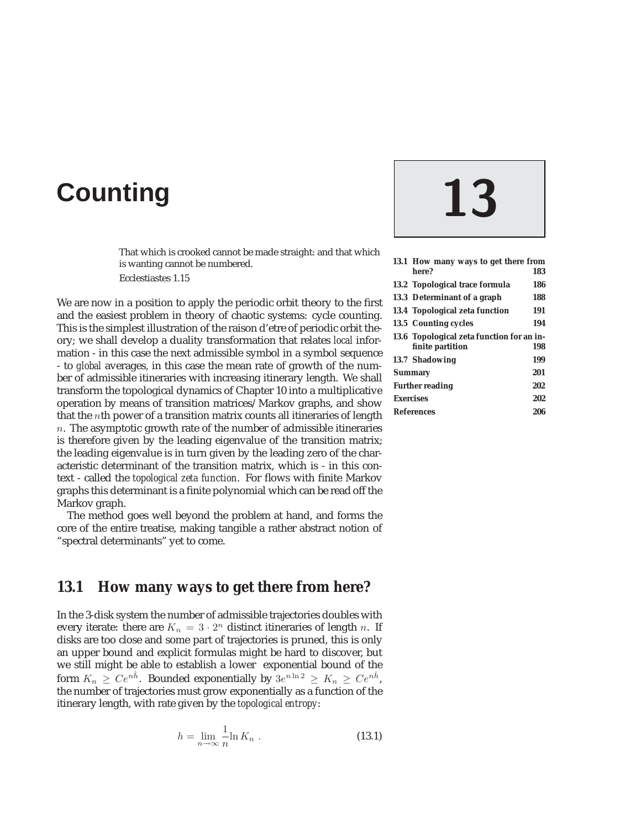# **Counting 13**

That which is crooked cannot be made straight: and that which is wanting cannot be numbered.

Ecclestiastes 1.15

We are now in a position to apply the periodic orbit theory to the first and the easiest problem in theory of chaotic systems: cycle counting. This is the simplest illustration of the raison d'etre of periodic orbit theory; we shall develop a duality transformation that relates *local* information - in this case the next admissible symbol in a symbol sequence - to *global* averages, in this case the mean rate of growth of the number of admissible itineraries with increasing itinerary length. We shall transform the topological dynamics of Chapter 10 into a multiplicative operation by means of transition matrices/Markov graphs, and show that the nth power of a transition matrix counts all itineraries of length  $n.$  The asymptotic growth rate of the number of admissible itineraries is therefore given by the leading eigenvalue of the transition matrix; the leading eigenvalue is in turn given by the leading zero of the characteristic determinant of the transition matrix, which is - in this context - called the *topological zeta function*. For flows with finite Markov graphs this determinant is a finite polynomial which can be read off the Markov graph.

The method goes well beyond the problem at hand, and forms the core of the entire treatise, making tangible a rather abstract notion of "spectral determinants" yet to come.

# **13.1 How many ways to get there from here?**

In the 3-disk system the number of admissible trajectories doubles with every iterate: there are  $K_n = 3 \cdot 2^n$  distinct itineraries of length n. If disks are too close and some part of trajectories is pruned, this is only an upper bound and explicit formulas might be hard to discover, but we still might be able to establish a lower exponential bound of the form  $K_n \geq Ce^{n\hat{h}}$ . Bounded exponentially by  $3e^{n\ln 2} \geq K_n \geq Ce^{n\hat{h}}$ , the number of trajectories must grow exponentially as a function of the itinerary length, with rate given by the *topological entropy*:

$$
h = \lim_{n \to \infty} \frac{1}{n} \ln K_n . \tag{13.1}
$$

| 13.1 How many ways to get there from      |     |
|-------------------------------------------|-----|
| here?                                     | 183 |
| 13.2 Topological trace formula            | 186 |
| 13.3 Determinant of a graph               | 188 |
| 13.4 Topological zeta function            | 191 |
| 13.5 Counting cycles                      | 194 |
| 13.6 Topological zeta function for an in- |     |
| finite partition                          | 198 |
| <b>13.7 Shadowing</b>                     | 199 |
| <b>Summary</b>                            | 201 |
| <b>Further reading</b>                    | 202 |
| <b>Exercises</b>                          | 202 |
| <b>References</b>                         | 206 |
|                                           |     |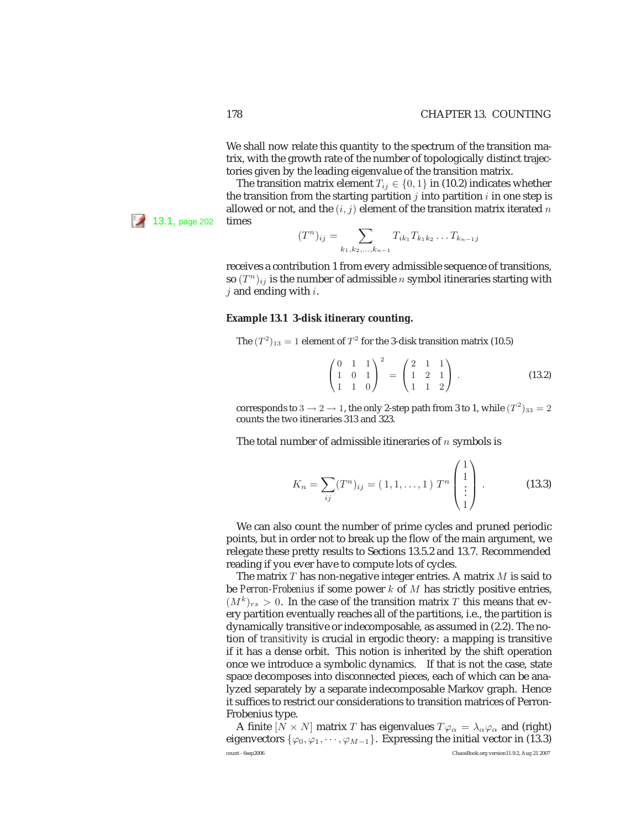We shall now relate this quantity to the spectrum of the transition matrix, with the growth rate of the number of topologically distinct trajectories given by the leading eigenvalue of the transition matrix.

The transition matrix element  $T_{ij} \in \{0, 1\}$  in (10.2) indicates whether the transition from the starting partition  $j$  into partition  $i$  in one step is allowed or not, and the  $(i, j)$  element of the transition matrix iterated  $n$  $13.1$ , page 202 times

> $(T^n)_{ij} = \sum$  $k_1, k_2,...,k_{n-1}$  $T_{ik_1} T_{k_1 k_2} \ldots T_{k_{n-1} j}$

receives a contribution 1 from every admissible sequence of transitions, so  $(T^n)_{ij}$  is the number of admissible n symbol itineraries starting with  $j$  and ending with  $i$ .

#### **Example 13.1 3-disk itinerary counting.**

The 
$$
(T^2)_{13} = 1
$$
 element of  $T^2$  for the 3-disk transition matrix (10.5)

$$
\begin{pmatrix} 0 & 1 & 1 \ 1 & 0 & 1 \ 1 & 1 & 0 \end{pmatrix}^2 = \begin{pmatrix} 2 & 1 & 1 \ 1 & 2 & 1 \ 1 & 1 & 2 \end{pmatrix} .
$$
 (13.2)

corresponds to  $3 \rightarrow 2 \rightarrow 1$ , the only 2-step path from 3 to 1, while  $(T^2)_{33} = 2$ counts the two itineraries 313 and 323.

The total number of admissible itineraries of  $n$  symbols is

$$
K_n = \sum_{ij} (T^n)_{ij} = (1, 1, \dots, 1) T^n \begin{pmatrix} 1 \\ 1 \\ \vdots \\ 1 \end{pmatrix} .
$$
 (13.3)

We can also count the number of prime cycles and pruned periodic points, but in order not to break up the flow of the main argument, we relegate these pretty results to Sections 13.5.2 and 13.7. Recommended reading if you ever have to compute lots of cycles.

The matrix  $T$  has non-negative integer entries. A matrix  $M$  is said to be *Perron-Frobenius* if some power k of M has strictly positive entries,  $(M^k)_{rs} > 0$ . In the case of the transition matrix T this means that every partition eventually reaches all of the partitions, i.e., the partition is dynamically transitive or indecomposable, as assumed in (2.2). The notion of *transitivity* is crucial in ergodic theory: a mapping is transitive if it has a dense orbit. This notion is inherited by the shift operation once we introduce a symbolic dynamics. If that is not the case, state space decomposes into disconnected pieces, each of which can be analyzed separately by a separate indecomposable Markov graph. Hence it suffices to restrict our considerations to transition matrices of Perron-Frobenius type.

A finite  $[N \times N]$  matrix T has eigenvalues  $T\varphi_{\alpha} = \lambda_{\alpha}\varphi_{\alpha}$  and (right) eigenvectors { $\varphi_0, \varphi_1, \dots, \varphi_{M-1}$ }. Expressing the initial vector in (13.3) count - 6sep2006 ChaosBook.org version11.9.2, Aug 21 2007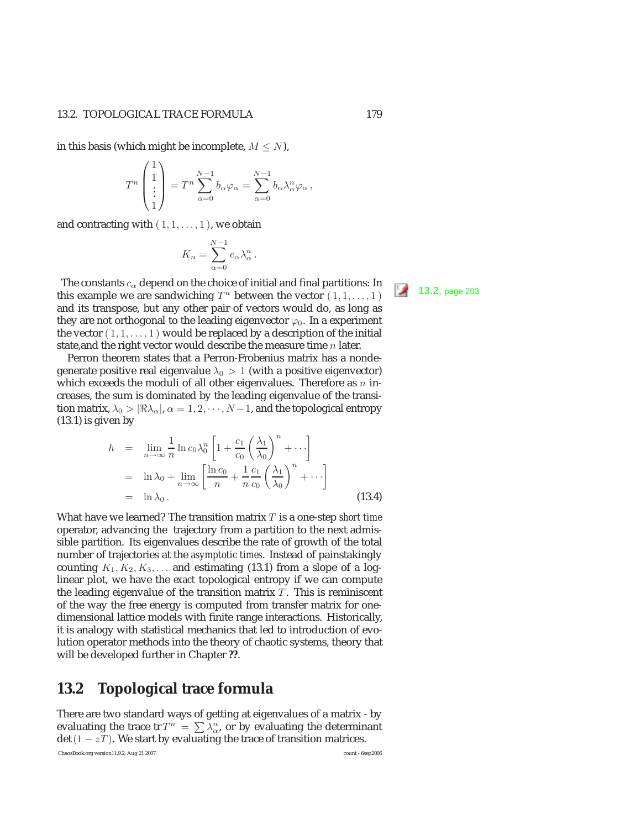#### 13.2. TOPOLOGICAL TRACE FORMULA 179

in this basis (which might be incomplete,  $M \le N$ ),

$$
T^n \begin{pmatrix} 1 \\ 1 \\ \vdots \\ 1 \end{pmatrix} = T^n \sum_{\alpha=0}^{N-1} b_{\alpha} \varphi_{\alpha} = \sum_{\alpha=0}^{N-1} b_{\alpha} \lambda_{\alpha}^n \varphi_{\alpha},
$$

and contracting with  $(1, 1, \ldots, 1)$ , we obtain

$$
K_n = \sum_{\alpha=0}^{N-1} c_{\alpha} \lambda_{\alpha}^n.
$$

The constants  $c_{\alpha}$  depend on the choice of initial and final partitions: In this example we are sandwiching  $T^n$  between the vector  $(1, 1, ..., 1)$  13.2, page 203 and its transpose, but any other pair of vectors would do, as long as they are not orthogonal to the leading eigenvector  $\varphi_0$ . In a experiment the vector  $(1,1,\ldots,1)$  would be replaced by a description of the initial state, and the right vector would describe the measure time  $n$  later.

Perron theorem states that a Perron-Frobenius matrix has a nondegenerate positive real eigenvalue  $\lambda_0 > 1$  (with a positive eigenvector) which exceeds the moduli of all other eigenvalues. Therefore as  $n$  increases, the sum is dominated by the leading eigenvalue of the transition matrix,  $\lambda_0 > |\Re \lambda_\alpha|, \alpha = 1, 2, \cdots, N-1$ , and the topological entropy (13.1) is given by

$$
h = \lim_{n \to \infty} \frac{1}{n} \ln c_0 \lambda_0^n \left[ 1 + \frac{c_1}{c_0} \left( \frac{\lambda_1}{\lambda_0} \right)^n + \cdots \right]
$$
  
=  $\ln \lambda_0 + \lim_{n \to \infty} \left[ \frac{\ln c_0}{n} + \frac{1}{n} \frac{c_1}{c_0} \left( \frac{\lambda_1}{\lambda_0} \right)^n + \cdots \right]$   
=  $\ln \lambda_0$ . (13.4)

What have we learned? The transition matrix T is a one-step *short time* operator, advancing the trajectory from a partition to the next admissible partition. Its eigenvalues describe the rate of growth of the total number of trajectories at the *asymptotic times*. Instead of painstakingly counting  $K_1, K_2, K_3, \ldots$  and estimating (13.1) from a slope of a loglinear plot, we have the *exact* topological entropy if we can compute the leading eigenvalue of the transition matrix  $T$ . This is reminiscent of the way the free energy is computed from transfer matrix for onedimensional lattice models with finite range interactions. Historically, it is analogy with statistical mechanics that led to introduction of evolution operator methods into the theory of chaotic systems, theory that will be developed further in Chapter **??**.

# **13.2 Topological trace formula**

There are two standard ways of getting at eigenvalues of a matrix - by evaluating the trace tr $T^n = \sum_{\alpha} \lambda_{\alpha}^n$ , or by evaluating the determinant  $\det(1 - zT)$ . We start by evaluating the trace of transition matrices.

ChaosBook.org version11.9.2, Aug 21 2007 count - 6sep2006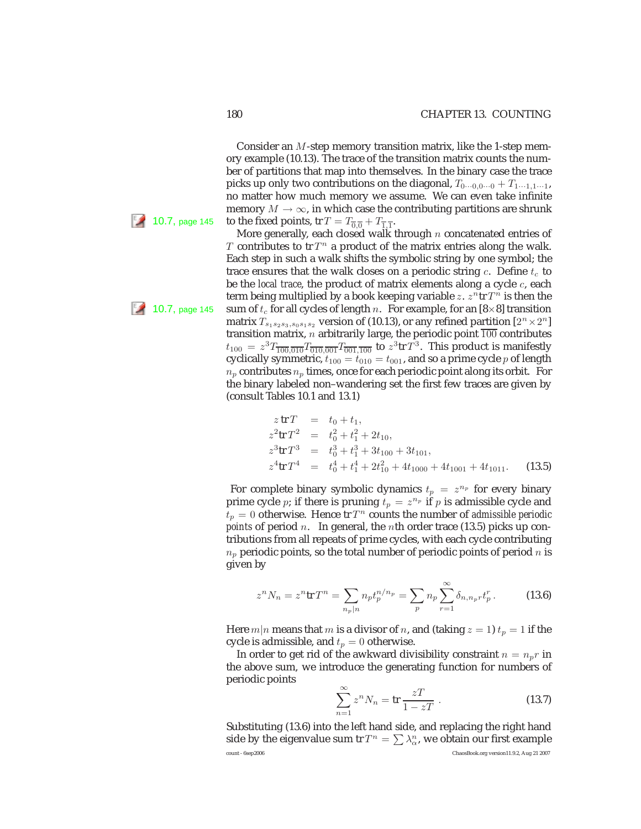Consider an M-step memory transition matrix, like the 1-step memory example (10.13). The trace of the transition matrix counts the number of partitions that map into themselves. In the binary case the trace picks up only two contributions on the diagonal,  $T_{0\cdots0,0\cdots0} + T_{1\cdots1,1\cdots1}$ , no matter how much memory we assume. We can even take infinite memory  $M \to \infty$ , in which case the contributing partitions are shrunk **10.7**, page 145 to the fixed points, tr  $T = T_{\overline{0.0}} + T_{\overline{1.1}}$ .

More generally, each closed walk through  $n$  concatenated entries of T contributes to tr  $T^n$  a product of the matrix entries along the walk. Each step in such a walk shifts the symbolic string by one symbol; the trace ensures that the walk closes on a periodic string  $c$ . Define  $t_c$  to be the *local trace*, the product of matrix elements along a cycle c, each term being multiplied by a book keeping variable z.  $z^n$ tr  $T^n$  is then the 10.7, page 145 sum of  $t_c$  for all cycles of length n. For example, for an [8×8] transition matrix  $T_{s_1s_2s_3,s_0s_1s_2}$  version of (10.13), or any refined partition  $[2^n \times 2^n]$ transition matrix,  $n$  arbitrarily large, the periodic point  $\overline{100}$  contributes  $t_{100} = z^3 T_{\overline{100},\overline{010}} T_{\overline{010},\overline{001}} T_{\overline{001},\overline{100}}$  to  $z^3$ tr  $T^3$ . This product is manifestly cyclically symmetric,  $t_{100} = t_{010} = t_{001}$ , and so a prime cycle p of length  $n_p$  contributes  $n_p$  times, once for each periodic point along its orbit. For the binary labeled non–wandering set the first few traces are given by (consult Tables 10.1 and 13.1)

$$
z \text{ tr } T = t_0 + t_1,
$$
  
\n
$$
z^2 \text{ tr } T^2 = t_0^2 + t_1^2 + 2t_{10},
$$
  
\n
$$
z^3 \text{ tr } T^3 = t_0^3 + t_1^3 + 3t_{100} + 3t_{101},
$$
  
\n
$$
z^4 \text{ tr } T^4 = t_0^4 + t_1^4 + 2t_{10}^2 + 4t_{1000} + 4t_{1001} + 4t_{1011}. \tag{13.5}
$$

For complete binary symbolic dynamics  $t_p = z^{n_p}$  for every binary prime cycle p; if there is pruning  $t_p = z^{n_p}$  if p is admissible cycle and  $t_p = 0$  otherwise. Hence tr  $T^n$  counts the number of *admissible periodic points* of period *n*. In general, the *n*th order trace (13.5) picks up contributions from all repeats of prime cycles, with each cycle contributing  $n_p$  periodic points, so the total number of periodic points of period n is given by

$$
z^{n}N_{n} = z^{n}\text{tr}\,T^{n} = \sum_{n_{p}|n} n_{p}t_{p}^{n/n_{p}} = \sum_{p} n_{p}\sum_{r=1}^{\infty} \delta_{n,n_{p}r}t_{p}^{r}.
$$
 (13.6)

Here  $m|n$  means that m is a divisor of n, and (taking  $z = 1$ )  $t_p = 1$  if the cycle is admissible, and  $t_p = 0$  otherwise.

In order to get rid of the awkward divisibility constraint  $n = n_p r$  in the above sum, we introduce the generating function for numbers of periodic points

$$
\sum_{n=1}^{\infty} z^n N_n = \text{tr}\,\frac{zT}{1 - zT} \,. \tag{13.7}
$$

Substituting (13.6) into the left hand side, and replacing the right hand side by the eigenvalue sum tr $T^n = \sum \lambda^n_{\alpha}$ , we obtain our first example count - 6sep2006 ChaosBook.org version11.9.2, Aug 21 2007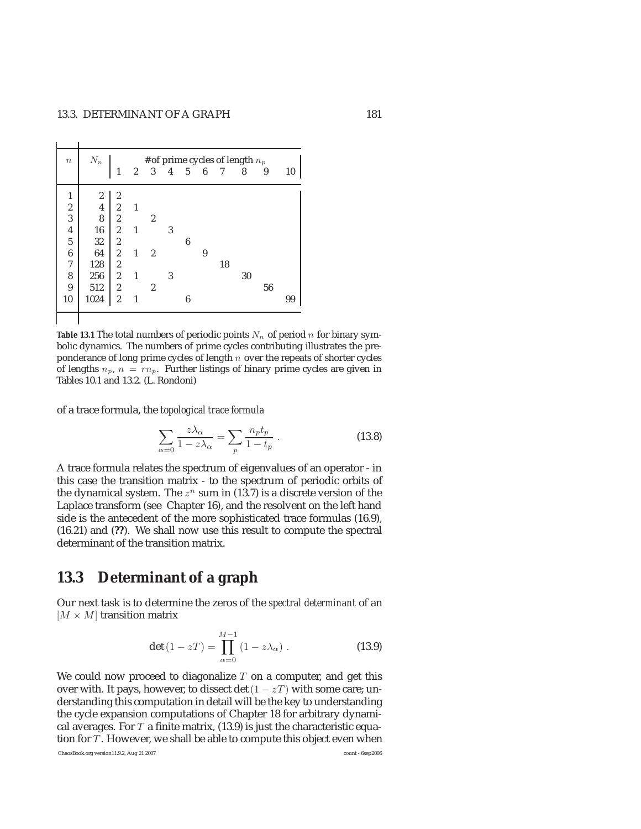$\sim 10$ 

| $\boldsymbol{n}$        | $N_n$                                      |                  | # of prime cycles of length $n_p$ |                         |                |                |   |    |    |    |    |
|-------------------------|--------------------------------------------|------------------|-----------------------------------|-------------------------|----------------|----------------|---|----|----|----|----|
|                         |                                            |                  | $\mathbf{2}$                      | $\overline{\mathbf{3}}$ | $\overline{4}$ | 5 <sup>5</sup> | 6 | 7  | 8  | 9  | 10 |
| 1                       |                                            | 2                |                                   |                         |                |                |   |    |    |    |    |
| $\overline{\mathbf{c}}$ | $\begin{array}{c} 2 \\ 4 \\ 8 \end{array}$ |                  | $\overline{1}$                    |                         |                |                |   |    |    |    |    |
| 3                       |                                            | $\frac{2}{2}$    |                                   | $\overline{2}$          |                |                |   |    |    |    |    |
| $\overline{\mathbf{4}}$ | ${\bf 16}$                                 | $\overline{c}$   | $\mathbf{1}$                      |                         | 3              |                |   |    |    |    |    |
| $\overline{5}$          | 32                                         | $\boldsymbol{2}$ |                                   |                         |                | 6              |   |    |    |    |    |
| $\boldsymbol{6}$        | 64                                         | $\sqrt{2}$       | $\mathbf{1}$                      | $\boldsymbol{2}$        |                |                | 9 |    |    |    |    |
| 7                       | 128                                        | $\boldsymbol{2}$ |                                   |                         |                |                |   | 18 |    |    |    |
| 8                       | 256                                        | $\overline{c}$   | $\mathbf{1}$                      |                         | 3              |                |   |    | 30 |    |    |
| 9                       | 512                                        | 2                |                                   | $\overline{2}$          |                |                |   |    |    | 56 |    |
| 10                      | 1024                                       | $\overline{2}$   | 1                                 |                         |                | 6              |   |    |    |    | 99 |

**Table 13.1** The total numbers of periodic points  $N_n$  of period n for binary symbolic dynamics. The numbers of prime cycles contributing illustrates the preponderance of long prime cycles of length  $n$  over the repeats of shorter cycles of lengths  $n_p$ ,  $n = rn_p$ . Further listings of binary prime cycles are given in Tables 10.1 and 13.2. (L. Rondoni)

of a trace formula, the *topological trace formula*

$$
\sum_{\alpha=0} \frac{z\lambda_{\alpha}}{1-z\lambda_{\alpha}} = \sum_{p} \frac{n_p t_p}{1-t_p} . \tag{13.8}
$$

A trace formula relates the spectrum of eigenvalues of an operator - in this case the transition matrix - to the spectrum of periodic orbits of the dynamical system. The  $z^n$  sum in (13.7) is a discrete version of the Laplace transform (see Chapter 16), and the resolvent on the left hand side is the antecedent of the more sophisticated trace formulas (16.9), (16.21) and (**??**). We shall now use this result to compute the spectral determinant of the transition matrix.

# **13.3 Determinant of a graph**

Our next task is to determine the zeros of the *spectral determinant* of an  $[M \times M]$  transition matrix

$$
\det(1 - zT) = \prod_{\alpha=0}^{M-1} (1 - z\lambda_{\alpha}). \qquad (13.9)
$$

We could now proceed to diagonalize  $T$  on a computer, and get this over with. It pays, however, to dissect det  $(1 - zT)$  with some care; understanding this computation in detail will be the key to understanding the cycle expansion computations of Chapter 18 for arbitrary dynamical averages. For  $T$  a finite matrix, (13.9) is just the characteristic equation for  $T$ . However, we shall be able to compute this object even when

ChaosBook.org version11.9.2, Aug 21 2007 count - 6sep2006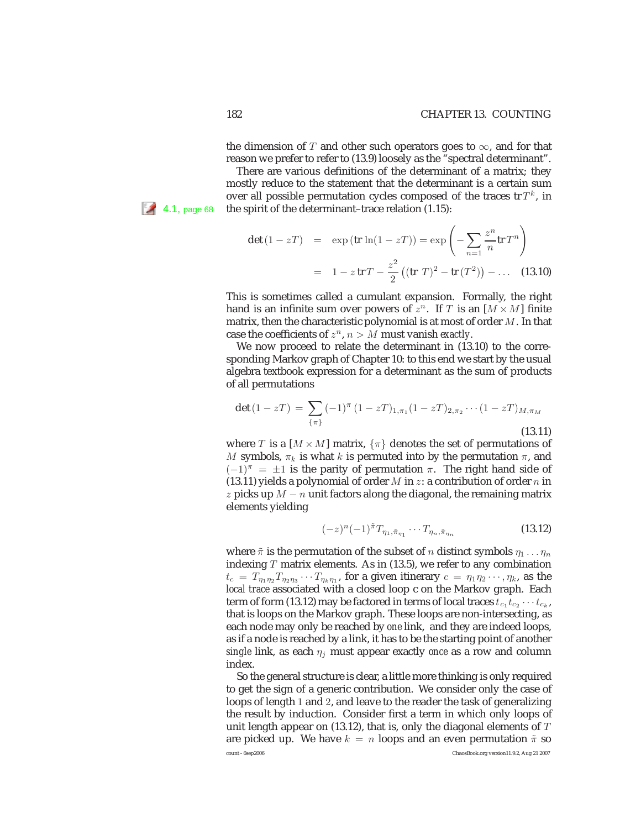the dimension of T and other such operators goes to  $\infty$ , and for that reason we prefer to refer to (13.9) loosely as the "spectral determinant".

There are various definitions of the determinant of a matrix; they mostly reduce to the statement that the determinant is a certain sum over all possible permutation cycles composed of the traces  $tr T^k$ , in 4.1, page 68 the spirit of the determinant–trace relation (1.15):

$$
\det (1 - zT) = \exp (\text{tr } \ln(1 - zT)) = \exp \left(-\sum_{n=1}^{\infty} \frac{z^n}{n} \text{tr } T^n\right)
$$

$$
= 1 - z \text{tr } T - \frac{z^2}{2} \left((\text{tr } T)^2 - \text{tr } (T^2)\right) - \dots \quad (13.10)
$$

This is sometimes called a cumulant expansion. Formally, the right hand is an infinite sum over powers of  $z^n$ . If T is an  $[M \times M]$  finite matrix, then the characteristic polynomial is at most of order  $M$ . In that case the coefficients of  $z^n$ ,  $n > M$  must vanish *exactly*.

We now proceed to relate the determinant in (13.10) to the corresponding Markov graph of Chapter 10: to this end we start by the usual algebra textbook expression for a determinant as the sum of products of all permutations

$$
\det (1 - zT) = \sum_{\{\pi\}} (-1)^{\pi} (1 - zT)_{1,\pi_1} (1 - zT)_{2,\pi_2} \cdots (1 - zT)_{M,\pi_M}
$$
\n(13.11)

where T is a  $[M \times M]$  matrix,  $\{\pi\}$  denotes the set of permutations of M symbols,  $\pi_k$  is what k is permuted into by the permutation  $\pi$ , and  $(-1)^{\pi}$  =  $\pm 1$  is the parity of permutation  $\pi$ . The right hand side of (13.11) yields a polynomial of order M in z: a contribution of order n in z picks up  $M - n$  unit factors along the diagonal, the remaining matrix elements yielding

$$
(-z)^{n}(-1)^{\tilde{\pi}}T_{\eta_{1},\tilde{\pi}_{\eta_{1}}}\cdots T_{\eta_{n},\tilde{\pi}_{\eta_{n}}}
$$
\n(13.12)

where  $\tilde{\pi}$  is the permutation of the subset of n distinct symbols  $\eta_1 \dots \eta_n$ indexing  $T$  matrix elements. As in (13.5), we refer to any combination  $t_c = T_{\eta_1 \eta_2} T_{\eta_2 \eta_3} \cdots T_{\eta_k \eta_1}$ , for a given itinerary  $c = \eta_1 \eta_2 \cdots, \eta_k$ , as the *local trace* associated with a closed loop c on the Markov graph. Each term of form (13.12) may be factored in terms of local traces  $t_{c_1} t_{c_2} \cdots t_{c_k}$ , that is loops on the Markov graph. These loops are non-intersecting, as each node may only be reached by *one* link, and they are indeed loops, as if a node is reached by a link, it has to be the starting point of another *single* link, as each  $\eta_i$  must appear exactly *once* as a row and column index.

So the general structure is clear, a little more thinking is only required to get the sign of a generic contribution. We consider only the case of loops of length 1 and 2, and leave to the reader the task of generalizing the result by induction. Consider first a term in which only loops of unit length appear on (13.12), that is, only the diagonal elements of  $T$ are picked up. We have  $k = n$  loops and an even permutation  $\tilde{\pi}$  so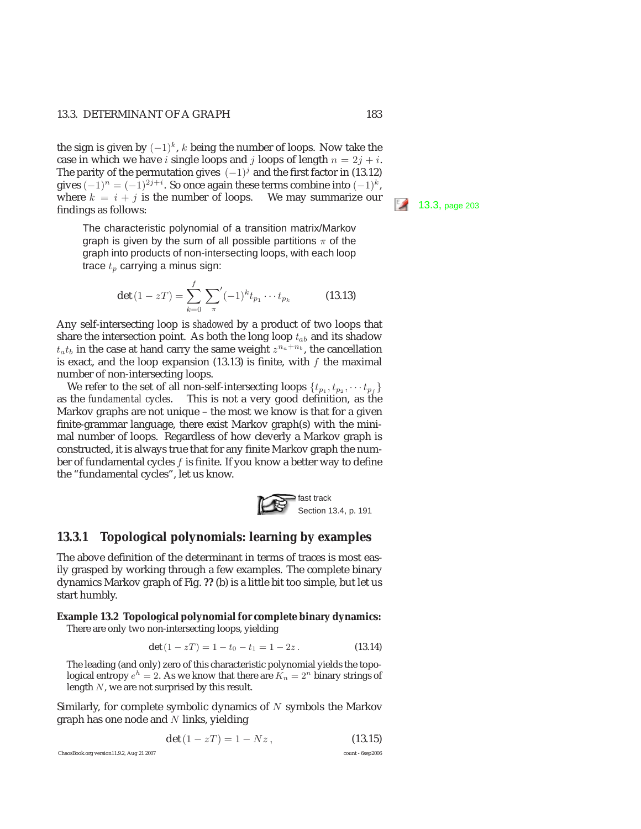the sign is given by  $(-1)^k$ , k being the number of loops. Now take the case in which we have *i* single loops and *j* loops of length  $n = 2j + i$ . The parity of the permutation gives  $(-1)^j$  and the first factor in (13.12) gives  $(-1)^n = (-1)^{2j+i}$ . So once again these terms combine into  $(-1)^k$ , where  $k = i + j$  is the number of loops. We may summarize our findings as follows:

The characteristic polynomial of a transition matrix/Markov graph is given by the sum of all possible partitions  $\pi$  of the graph into products of non-intersecting loops, with each loop trace  $t_p$  carrying a minus sign:

$$
\det (1 - zT) = \sum_{k=0}^{f} \sum_{\pi} (-1)^k t_{p_1} \cdots t_{p_k}
$$
 (13.13)

Any self-intersecting loop is *shadowed* by a product of two loops that share the intersection point. As both the long loop  $t_{ab}$  and its shadow  $t_a t_b$  in the case at hand carry the same weight  $z^{n_a+n_b}$ , the cancellation is exact, and the loop expansion  $(13.13)$  is finite, with f the maximal number of non-intersecting loops.

We refer to the set of all non-self-intersecting loops  $\{t_{p_1}, t_{p_2}, \cdots t_{p_f}\}$ as the *fundamental cycles*. This is not a very good definition, as the Markov graphs are not unique – the most we know is that for a given finite-grammar language, there exist Markov graph(s) with the minimal number of loops. Regardless of how cleverly a Markov graph is constructed, it is always true that for any finite Markov graph the number of fundamental cycles f is finite. If you know a better way to define the "fundamental cycles", let us know.



#### **13.3.1 Topological polynomials: learning by examples**

The above definition of the determinant in terms of traces is most easily grasped by working through a few examples. The complete binary dynamics Markov graph of Fig. **??** (b) is a little bit too simple, but let us start humbly.

# **Example 13.2 Topological polynomial for complete binary dynamics:**

There are only two non-intersecting loops, yielding

$$
\det(1 - zT) = 1 - t_0 - t_1 = 1 - 2z. \tag{13.14}
$$

The leading (and only) zero of this characteristic polynomial yields the topological entropy  $e^h = 2$ . As we know that there are  $K_n = 2^n$  binary strings of length N, we are not surprised by this result.

Similarly, for complete symbolic dynamics of  $N$  symbols the Markov graph has one node and  $N$  links, yielding

$$
\det(1 - zT) = 1 - Nz, \tag{13.15}
$$

ChaosBook.org version11.9.2, Aug 21 2007 count - 6sep2006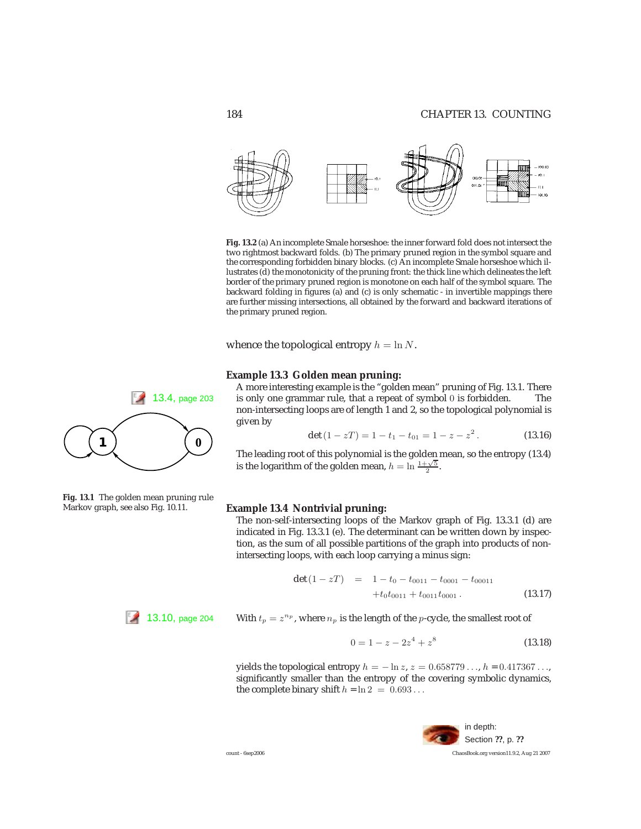

**Fig. 13.2** (a) An incomplete Smale horseshoe: the inner forward fold does not intersect the two rightmost backward folds. (b) The primary pruned region in the symbol square and the corresponding forbidden binary blocks. (c) An incomplete Smale horseshoe which illustrates (d) the monotonicity of the pruning front: the thick line which delineates the left border of the primary pruned region is monotone on each half of the symbol square. The backward folding in figures (a) and (c) is only schematic - in invertible mappings there are further missing intersections, all obtained by the forward and backward iterations of the primary pruned region.

whence the topological entropy  $h = \ln N$ .

#### **Example 13.3 Golden mean pruning:**

A more interesting example is the "golden mean" pruning of Fig. 13.1. There 13.4, page 203 is only one grammar rule, that a repeat of symbol 0 is forbidden. The non-intersecting loops are of length 1 and 2, so the topological polynomial is given by

$$
\det (1 - zT) = 1 - t_1 - t_{01} = 1 - z - z^2. \tag{13.16}
$$

The leading root of this polynomial is the golden mean, so the entropy (13.4) is the logarithm of the golden mean,  $h = \ln \frac{1 + \sqrt{5}}{2}$ .

#### **Example 13.4 Nontrivial pruning:**

The non-self-intersecting loops of the Markov graph of Fig. 13.3.1 (d) are indicated in Fig. 13.3.1 (e). The determinant can be written down by inspection, as the sum of all possible partitions of the graph into products of nonintersecting loops, with each loop carrying a minus sign:

$$
\det (1 - zT) = 1 - t_0 - t_{0011} - t_{0001} - t_{00011} + t_0 t_{0011} + t_{0011} t_{0001}. \qquad (13.17)
$$

13.10, page 204 With  $t_p = z^{n_p}$ , where  $n_p$  is the length of the p-cycle, the smallest root of

$$
0 = 1 - z - 2z^4 + z^8 \tag{13.18}
$$

yields the topological entropy  $h = -\ln z$ ,  $z = 0.658779...$ ,  $h = 0.417367...$ , significantly smaller than the entropy of the covering symbolic dynamics, the complete binary shift  $h = \ln 2 = 0.693...$ 





**Fig. 13.1** The golden mean pruning rule Markov graph, see also Fig. 10.11.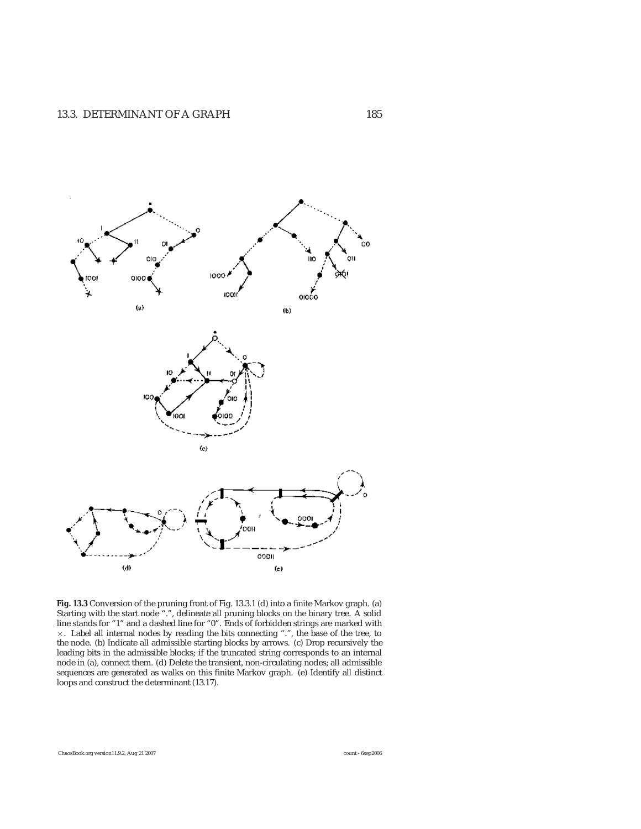

**Fig. 13.3** Conversion of the pruning front of Fig. 13.3.1 (d) into a finite Markov graph. (a) Starting with the start node ".", delineate all pruning blocks on the binary tree. A solid line stands for "1" and a dashed line for "0". Ends of forbidden strings are marked with ×. Label all internal nodes by reading the bits connecting ".", the base of the tree, to the node. (b) Indicate all admissible starting blocks by arrows. (c) Drop recursively the leading bits in the admissible blocks; if the truncated string corresponds to an internal node in (a), connect them. (d) Delete the transient, non-circulating nodes; all admissible sequences are generated as walks on this finite Markov graph. (e) Identify all distinct loops and construct the determinant (13.17).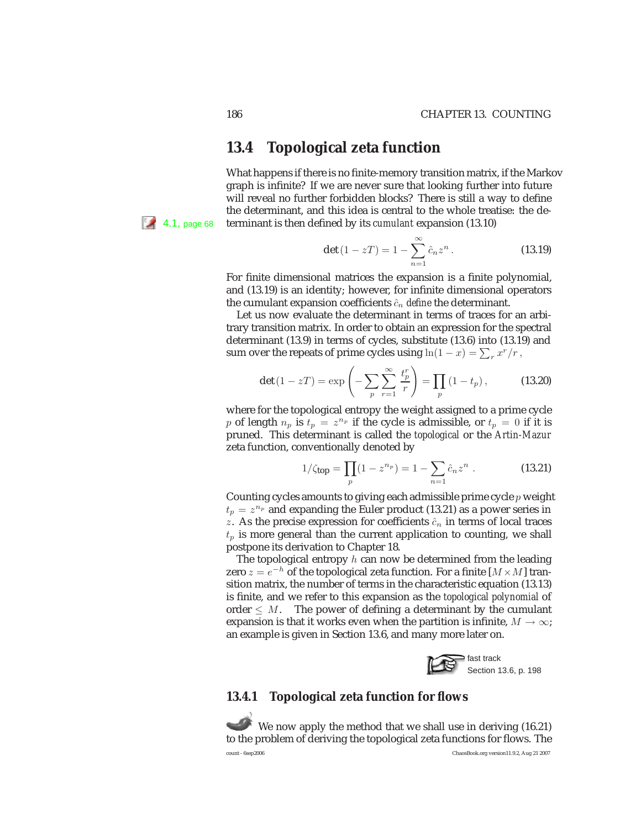# **13.4 Topological zeta function**

What happens if there is no finite-memory transition matrix, if the Markov graph is infinite? If we are never sure that looking further into future will reveal no further forbidden blocks? There is still a way to define the determinant, and this idea is central to the whole treatise: the de-4.1, page 68 terminant is then defined by its *cumulant* expansion (13.10)

$$
\det(1 - zT) = 1 - \sum_{n=1}^{\infty} \hat{c}_n z^n.
$$
 (13.19)

For finite dimensional matrices the expansion is a finite polynomial, and (13.19) is an identity; however, for infinite dimensional operators the cumulant expansion coefficients  $\hat{c}_n$  *define* the determinant.

Let us now evaluate the determinant in terms of traces for an arbitrary transition matrix. In order to obtain an expression for the spectral determinant (13.9) in terms of cycles, substitute (13.6) into (13.19) and sum over the repeats of prime cycles using  $ln(1-x) = \sum_r x^r/r$ ,

$$
\det(1 - zT) = \exp\left(-\sum_{p} \sum_{r=1}^{\infty} \frac{t_p^r}{r}\right) = \prod_{p} (1 - t_p),
$$
 (13.20)

where for the topological entropy the weight assigned to a prime cycle p of length  $n_p$  is  $t_p = z^{n_p}$  if the cycle is admissible, or  $t_p = 0$  if it is pruned. This determinant is called the *topological* or the *Artin-Mazur* zeta function, conventionally denoted by

$$
1/\zeta_{\text{top}} = \prod_{p} (1 - z^{n_p}) = 1 - \sum_{n=1} \hat{c}_n z^n . \qquad (13.21)
$$

Counting cycles amounts to giving each admissible prime cycle  $p$  weight  $t_p = z^{n_p}$  and expanding the Euler product (13.21) as a power series in z. As the precise expression for coefficients  $\hat{c}_n$  in terms of local traces  $t_p$  is more general than the current application to counting, we shall postpone its derivation to Chapter 18.

The topological entropy  $h$  can now be determined from the leading zero  $z = e^{-h}$  of the topological zeta function. For a finite [ $M \times M$ ] transition matrix, the number of terms in the characteristic equation (13.13) is finite, and we refer to this expansion as the *topological polynomial* of order  $\leq M$ . The power of defining a determinant by the cumulant expansion is that it works even when the partition is infinite,  $M \to \infty$ ; an example is given in Section 13.6, and many more later on.



### **13.4.1 Topological zeta function for flows**

We now apply the method that we shall use in deriving (16.21) to the problem of deriving the topological zeta functions for flows. The count - 6sep2006 ChaosBook.org version11.9.2, Aug 21 2007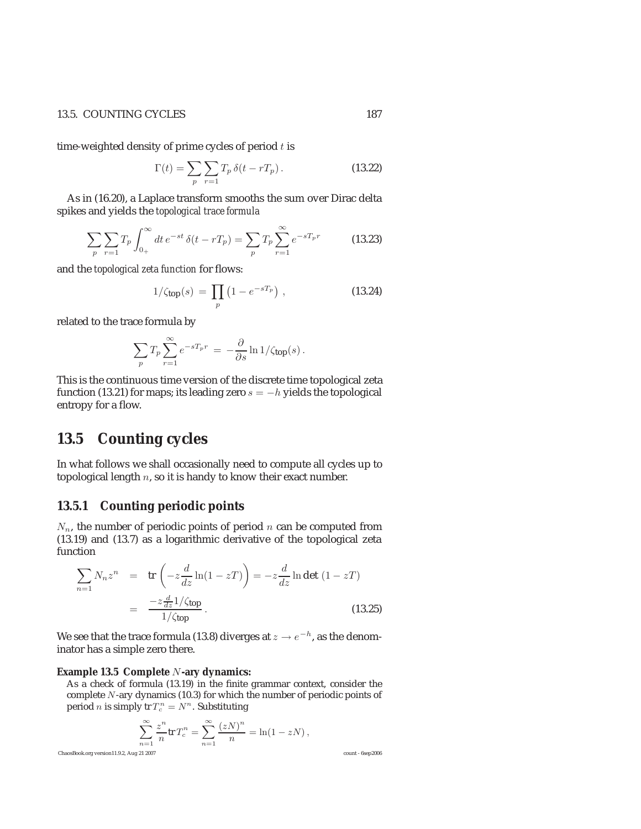#### 13.5. COUNTING CYCLES 187

time-weighted density of prime cycles of period  $t$  is

$$
\Gamma(t) = \sum_{p} \sum_{r=1} T_p \,\delta(t - rT_p). \tag{13.22}
$$

As in (16.20), a Laplace transform smooths the sum over Dirac delta spikes and yields the *topological trace formula*

$$
\sum_{p} \sum_{r=1} T_p \int_{0+}^{\infty} dt \, e^{-st} \, \delta(t - rT_p) = \sum_{p} T_p \sum_{r=1}^{\infty} e^{-sT_p r} \tag{13.23}
$$

and the *topological zeta function* for flows:

$$
1/\zeta_{\text{top}}(s) = \prod_{p} \left(1 - e^{-sT_p}\right) , \qquad (13.24)
$$

related to the trace formula by

$$
\sum_p T_p \sum_{r=1}^{\infty} e^{-sT_pr} = -\frac{\partial}{\partial s} \ln 1/\zeta_{\text{top}}(s) \,.
$$

This is the continuous time version of the discrete time topological zeta function (13.21) for maps; its leading zero  $s = -h$  yields the topological entropy for a flow.

# **13.5 Counting cycles**

In what follows we shall occasionally need to compute all cycles up to topological length  $n$ , so it is handy to know their exact number.

#### **13.5.1 Counting periodic points**

 $N_n$ , the number of periodic points of period n can be computed from (13.19) and (13.7) as a logarithmic derivative of the topological zeta function

$$
\sum_{n=1} N_n z^n = \text{tr}\left(-z\frac{d}{dz}\ln(1-zT)\right) = -z\frac{d}{dz}\ln\det(1-zT)
$$

$$
= \frac{-z\frac{d}{dz}1/\zeta_{\text{top}}}{1/\zeta_{\text{top}}}.
$$
(13.25)

We see that the trace formula (13.8) diverges at  $z \rightarrow e^{-h}$ , as the denominator has a simple zero there.

#### **Example 13.5 Complete** N**-ary dynamics:**

As a check of formula (13.19) in the finite grammar context, consider the complete N-ary dynamics (10.3) for which the number of periodic points of period *n* is simply tr  $T_c^n = N^n$ . Substituting

$$
\sum_{n=1}^{\infty} \frac{z^n}{n} \text{tr} T_c^n = \sum_{n=1}^{\infty} \frac{(zN)^n}{n} = \ln(1 - zN),
$$

ChaosBook.org version11.9.2, Aug 21 2007 count - 6sep2006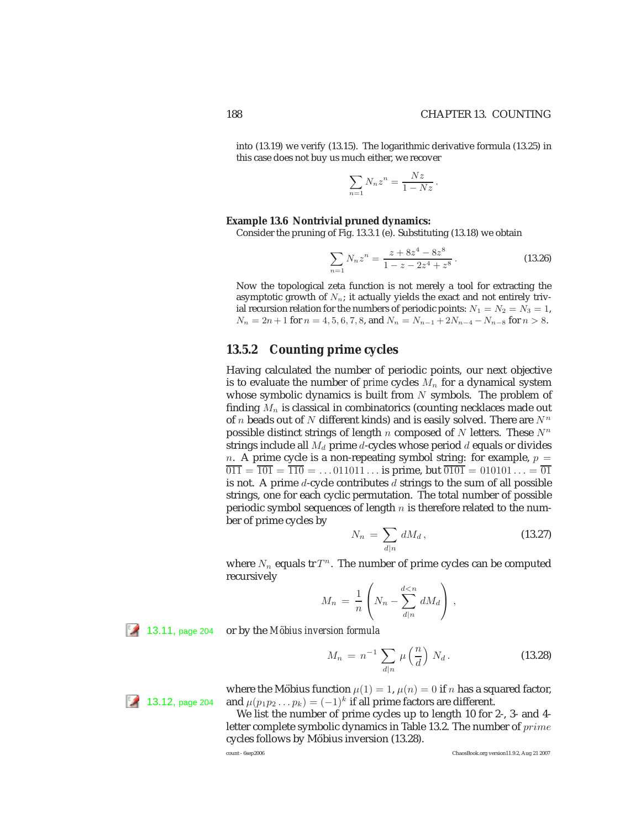into (13.19) we verify (13.15). The logarithmic derivative formula (13.25) in this case does not buy us much either, we recover

$$
\sum_{n=1} N_n z^n = \frac{Nz}{1 - Nz}.
$$

#### **Example 13.6 Nontrivial pruned dynamics:**

Consider the pruning of Fig. 13.3.1 (e). Substituting (13.18) we obtain

$$
\sum_{n=1} N_n z^n = \frac{z + 8z^4 - 8z^8}{1 - z - 2z^4 + z^8}.
$$
 (13.26)

Now the topological zeta function is not merely a tool for extracting the asymptotic growth of  $N_n$ ; it actually yields the exact and not entirely trivial recursion relation for the numbers of periodic points:  $N_1 = N_2 = N_3 = 1$ ,  $N_n = 2n + 1$  for  $n = 4, 5, 6, 7, 8$ , and  $N_n = N_{n-1} + 2N_{n-4} - N_{n-8}$  for  $n > 8$ .

#### **13.5.2 Counting prime cycles**

Having calculated the number of periodic points, our next objective is to evaluate the number of *prime* cycles  $M_n$  for a dynamical system whose symbolic dynamics is built from  $N$  symbols. The problem of finding  $M_n$  is classical in combinatorics (counting necklaces made out of *n* beads out of *N* different kinds) and is easily solved. There are  $N^n$ possible distinct strings of length n composed of N letters. These  $N^n$ strings include all  $M_d$  prime d-cycles whose period d equals or divides n. A prime cycle is a non-repeating symbol string: for example,  $p =$  $\overline{011} = \overline{101} = \overline{110} = \dots 011011 \dots$  is prime, but  $\overline{0101} = 010101 \dots = \overline{01}$ is not. A prime  $d$ -cycle contributes  $d$  strings to the sum of all possible strings, one for each cyclic permutation. The total number of possible periodic symbol sequences of length  $n$  is therefore related to the number of prime cycles by

$$
N_n = \sum_{d|n} dM_d, \qquad (13.27)
$$

where  $N_n$  equals tr $T^n$ . The number of prime cycles can be computed recursively

$$
M_n = \frac{1}{n} \left( N_n - \sum_{d|n}^{d
$$

13.11, page 204 or by the *Möbius inversion formula* 

$$
M_n = n^{-1} \sum_{d|n} \mu\left(\frac{n}{d}\right) N_d.
$$
 (13.28)

where the Möbius function  $\mu(1) = 1$ ,  $\mu(n) = 0$  if n has a squared factor, **13.12, page 204** and  $\mu(p_1p_2 \ldots p_k)=(-1)^k$  if all prime factors are different.

> We list the number of prime cycles up to length 10 for 2-, 3- and 4 letter complete symbolic dynamics in Table 13.2. The number of  $prime$ cycles follows by Möbius inversion (13.28).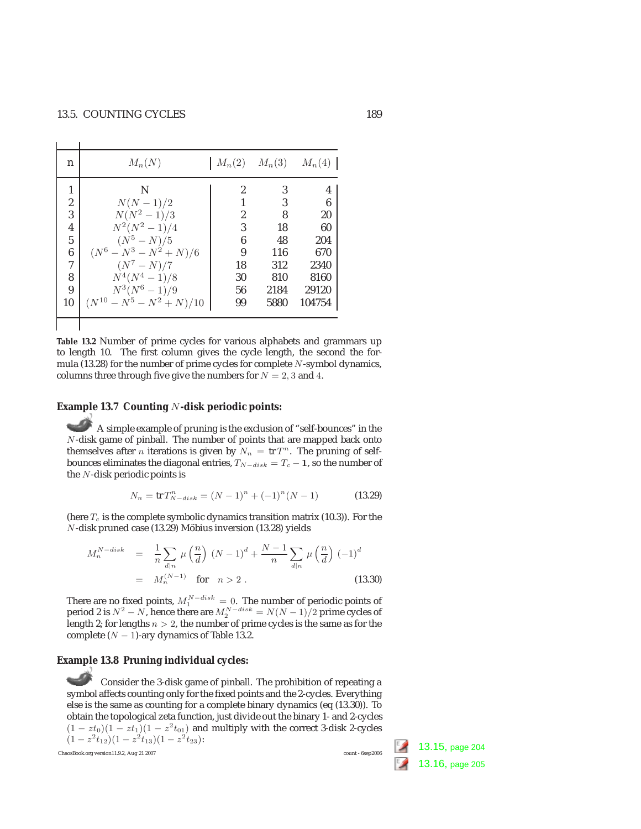| n                       | $M_n(N)$                      |    | $M_n(2)$ $M_n(3)$ | $M_n(4)$ |
|-------------------------|-------------------------------|----|-------------------|----------|
| 1                       | N                             | 2  | 3                 | 4        |
| $\overline{c}$          | $N(N-1)/2$                    |    | 3                 | 6        |
| 3                       | $N(N^2-1)/3$                  | 2  | 8                 | 20       |
| $\overline{\mathbf{4}}$ | $N^2(N^2-1)/4$                | 3  | 18                | 60       |
| $\overline{5}$          | $(N^5 - N)/5$                 | 6  | 48                | 204      |
| $\boldsymbol{6}$        | $(N^6 - N^3 - N^2 + N)/6$     | 9  | 116               | 670      |
| $\overline{7}$          | $(N^7 - N)/7$                 | 18 | 312               | 2340     |
| 8                       | $N^4(N^4-1)/8$                | 30 | 810               | 8160     |
| $\overline{9}$          | $N^3(N^6-1)/9$                | 56 | 2184              | 29120    |
| 10                      | $(N^{10} - N^5 - N^2 + N)/10$ | 99 | 5880              | 104754   |
|                         |                               |    |                   |          |
|                         |                               |    |                   |          |

**Table 13.2** Number of prime cycles for various alphabets and grammars up to length 10. The first column gives the cycle length, the second the formula  $(13.28)$  for the number of prime cycles for complete N-symbol dynamics, columns three through five give the numbers for  $N = 2, 3$  and 4.

#### **Example 13.7 Counting** N**-disk periodic points:**

A simple example of pruning is the exclusion of "self-bounces" in the N-disk game of pinball. The number of points that are mapped back onto themselves after *n* iterations is given by  $N_n = \text{tr } T^n$ . The pruning of selfbounces eliminates the diagonal entries,  $T_{N-disk} = T_c - 1$ , so the number of the N-disk periodic points is

$$
N_n = \text{tr}\, T_{N-disk}^n = (N-1)^n + (-1)^n (N-1)
$$
\n(13.29)

(here  $T_c$  is the complete symbolic dynamics transition matrix (10.3)). For the  $N$ -disk pruned case (13.29) Möbius inversion (13.28) yields

$$
M_n^{N-disk} = \frac{1}{n} \sum_{d|n} \mu\left(\frac{n}{d}\right) (N-1)^d + \frac{N-1}{n} \sum_{d|n} \mu\left(\frac{n}{d}\right) (-1)^d
$$
  
=  $M_n^{(N-1)}$  for  $n > 2$ . (13.30)

There are no fixed points,  $M_1^{N-disk} = 0$ . The number of periodic points of period 2 is  $N^2 - N$ , hence there are  $M_2^{N-disk} = N(N-1)/2$  prime cycles of langth 2: for langths  $n > 2$  the number of prime cycles is the same as for length 2; for lengths  $n > 2$ , the number of prime cycles is the same as for the complete  $(N - 1)$ -ary dynamics of Table 13.2.

## **Example 13.8 Pruning individual cycles:**

Consider the 3-disk game of pinball. The prohibition of repeating a symbol affects counting only for the fixed points and the 2-cycles. Everything else is the same as counting for a complete binary dynamics (eq (13.30)). To obtain the topological zeta function, just divide out the binary 1- and 2-cycles  $(1 - zt_0)(1 - zt_1)(1 - z^2t_0)$  and multiply with the correct 3-disk 2-cycles  $(1 - z^2t_{12})(1 - z^2t_{13})(1 - z^2t_{23})$ :<br>aosBook.org version11.9.2, Aug 21 2007<br>count - 6sep2006

ChaosBook.org version11.9.2, Aug 21 2007

13.15, page 204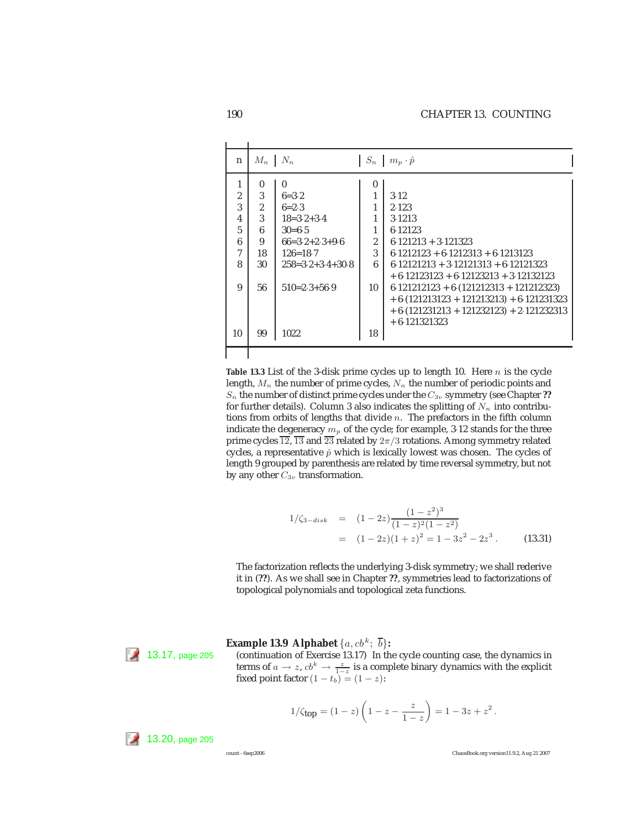|                                                                             | $M_n$                                               | $N_n$                                                                                                                                      | $S_n$                                | $m_p \cdot \hat{p}$                                                                                                                                                                                 |
|-----------------------------------------------------------------------------|-----------------------------------------------------|--------------------------------------------------------------------------------------------------------------------------------------------|--------------------------------------|-----------------------------------------------------------------------------------------------------------------------------------------------------------------------------------------------------|
| 1<br>$\overline{c}$<br>3<br>$\overline{4}$<br>$\overline{5}$<br>6<br>7<br>8 | 0<br>3<br>$\overline{2}$<br>3<br>6<br>9<br>18<br>30 | $\mathbf{0}$<br>$6 = 3.2$<br>$6=2.3$<br>$18 = 3 \cdot 2 + 3 \cdot 4$<br>$30=6.5$<br>$66=3.2+2.3+9.6$<br>$126 = 18.7$<br>$258=3.2+3.4+30.8$ | $\bf{0}$<br>$\overline{c}$<br>3<br>6 | 3.12<br>2.123<br>3.1213<br>6.12123<br>$6.121213 + 3.121323$<br>$6.1212123 + 6.1212313 + 6.1213123$<br>$6.12121213 + 3.12121313 + 6.12121323$                                                        |
| 9<br>10                                                                     | 56<br>99                                            | $510=2.3+56.9$<br>1022                                                                                                                     | 10<br>18                             | $+6.12123123 + 6.12123213 + 3.12132123$<br>$6.121212123 + 6.121212313 + 121212323$<br>$+ 6. (121213123 + 121213213) + 6.121231323$<br>$+6. (121231213 + 121232123) + 2.121232313$<br>$+6.121321323$ |

**Table 13.3** List of the 3-disk prime cycles up to length 10. Here  $n$  is the cycle length,  $M_n$  the number of prime cycles,  $N_n$  the number of periodic points and  $S_n$  the number of distinct prime cycles under the  $C_{3v}$  symmetry (see Chapter ?? for further details). Column 3 also indicates the splitting of  $N_n$  into contributions from orbits of lengths that divide  $n$ . The prefactors in the fifth column indicate the degeneracy  $m_p$  of the cycle; for example, 3.12 stands for the three prime cycles  $\overline{12}$ ,  $\overline{13}$  and  $\overline{23}$  related by  $2\pi/3$  rotations. Among symmetry related cycles, a representative  $\hat{p}$  which is lexically lowest was chosen. The cycles of length 9 grouped by parenthesis are related by time reversal symmetry, but not by any other  $C_{3v}$  transformation.

$$
1/\zeta_{3-disk} = (1-2z)\frac{(1-z^2)^3}{(1-z)^2(1-z^2)}
$$
  
=  $(1-2z)(1+z)^2 = 1-3z^2-2z^3$ . (13.31)

The factorization reflects the underlying 3-disk symmetry; we shall rederive it in (**??**). As we shall see in Chapter **??**, symmetries lead to factorizations of topological polynomials and topological zeta functions.

**Example 13.9 Alphabet**  $\{a, cb^k; \overline{b}\}$ :

13.17, page 205 (continuation of Exercise 13.17) In the cycle counting case, the dynamics in terms of  $a \to z$ ,  $cb^k \to \frac{z}{1-z}$  is a complete binary dynamics with the explicit fixed point factor  $(1 - t_b) = (1 - z)$ :

$$
1/\zeta_{\text{top}} = (1-z)\left(1-z - \frac{z}{1-z}\right) = 1 - 3z + z^2.
$$

 $13.20$ , page 205

count - 6sep2006 ChaosBook.org version11.9.2, Aug 21 2007

 $\mathbf{I}$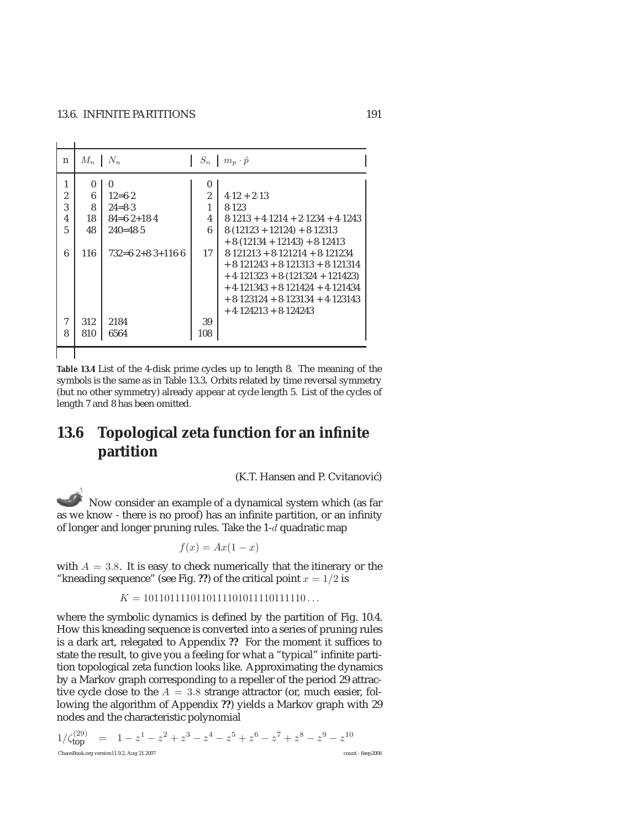i.  $\overline{1}$ 

| n                                  | $M_n \perp N_n$         |                                                                       |                                           | $S_n \mid m_p \cdot \hat{p}$                                                                                                                                                                                                                    |
|------------------------------------|-------------------------|-----------------------------------------------------------------------|-------------------------------------------|-------------------------------------------------------------------------------------------------------------------------------------------------------------------------------------------------------------------------------------------------|
| 1<br>$\overline{2}$<br>3<br>4<br>5 | 0<br>6<br>8<br>18<br>48 | $\bf{0}$<br>$12 = 6.2$<br>$24 = 8.3$<br>$84=6.2+18.4$<br>$240 = 48.5$ | $\theta$<br>$\overline{2}$<br>1<br>4<br>6 | $4.12 + 2.13$<br>8.123<br>$8.1213 + 4.1214 + 2.1234 + 4.1243$<br>$8(12123 + 12124) + 8.12313$                                                                                                                                                   |
| 6                                  | 116                     | $732=6.2+8.3+116.6$                                                   | 17                                        | $+8. (12134 + 12143) + 8.12413$<br>$8.121213 + 8.121214 + 8.121234$<br>$+8.121243 + 8.121313 + 8.121314$<br>$+4.121323 + 8.121324 + 121423$<br>$+4.121343 + 8.121424 + 4.121434$<br>$+8.123124 + 8.123134 + 4.123143$<br>$+4.124213 + 8.124243$ |
| 7<br>8                             | 312<br>810              | 2184<br>6564                                                          | 39<br>108                                 |                                                                                                                                                                                                                                                 |
|                                    |                         |                                                                       |                                           |                                                                                                                                                                                                                                                 |

**Table 13.4** List of the 4-disk prime cycles up to length 8. The meaning of the symbols is the same as in Table 13.3. Orbits related by time reversal symmetry (but no other symmetry) already appear at cycle length 5. List of the cycles of length 7 and 8 has been omitted.

# **13.6 Topological zeta function for an infinite partition**

(K.T. Hansen and P. Cvitanović)

Now consider an example of a dynamical system which (as far as we know - there is no proof) has an infinite partition, or an infinity of longer and longer pruning rules. Take the 1-d quadratic map

$$
f(x) = Ax(1 - x)
$$

with  $A = 3.8$ . It is easy to check numerically that the itinerary or the "kneading sequence" (see Fig. ??) of the critical point  $x = 1/2$  is

 $K = 10110111101101111010111110111110...$ 

where the symbolic dynamics is defined by the partition of Fig. 10.4. How this kneading sequence is converted into a series of pruning rules is a dark art, relegated to Appendix **??** For the moment it suffices to state the result, to give you a feeling for what a "typical" infinite partition topological zeta function looks like. Approximating the dynamics by a Markov graph corresponding to a repeller of the period 29 attractive cycle close to the  $A = 3.8$  strange attractor (or, much easier, following the algorithm of Appendix **??**) yields a Markov graph with 29 nodes and the characteristic polynomial

$$
1/\zeta_{\text{top}}^{(29)} = 1 - z^1 - z^2 + z^3 - z^4 - z^5 + z^6 - z^7 + z^8 - z^9 - z^{10}
$$
  
ChaosBook.org version11.9.2, Aug 21 2007  
count - 6sep2006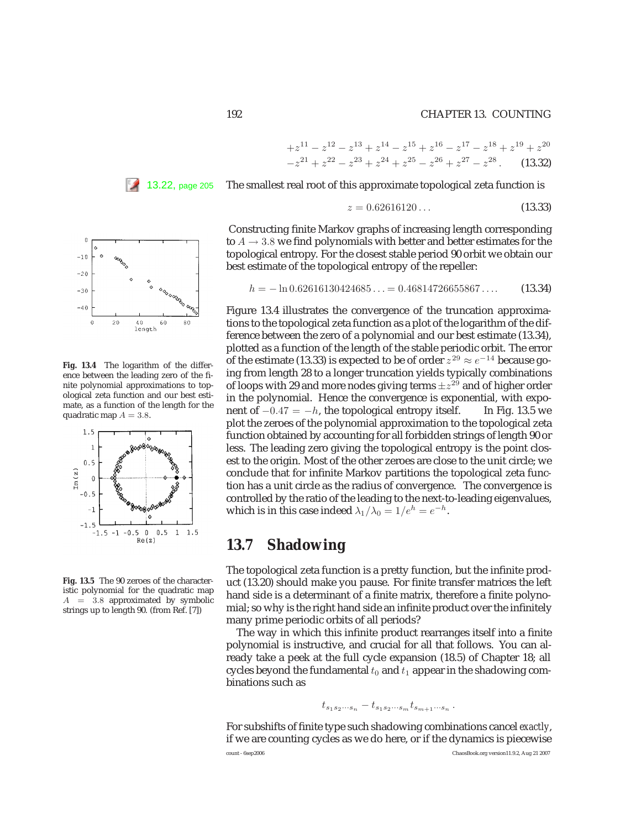#### 192 CHAPTER 13. COUNTING

$$
+z^{11} - z^{12} - z^{13} + z^{14} - z^{15} + z^{16} - z^{17} - z^{18} + z^{19} + z^{20}
$$
  

$$
-z^{21} + z^{22} - z^{23} + z^{24} + z^{25} - z^{26} + z^{27} - z^{28}. \qquad (13.32)
$$

13.22, page 205 The smallest real root of this approximate topological zeta function is

$$
z = 0.62616120\ldots\tag{13.33}
$$

Constructing finite Markov graphs of increasing length corresponding to  $A \rightarrow 3.8$  we find polynomials with better and better estimates for the topological entropy. For the closest stable period 90 orbit we obtain our best estimate of the topological entropy of the repeller:

$$
h = -\ln 0.62616130424685... = 0.46814726655867.... \tag{13.34}
$$

Figure 13.4 illustrates the convergence of the truncation approximations to the topological zeta function as a plot of the logarithm of the difference between the zero of a polynomial and our best estimate (13.34), plotted as a function of the length of the stable periodic orbit. The error of the estimate (13.33) is expected to be of order  $z^{29}\approx e^{-14}$  because going from length 28 to a longer truncation yields typically combinations of loops with 29 and more nodes giving terms  $\pm z^{29}$  and of higher order in the polynomial. Hence the convergence is exponential, with exponent of  $-0.47 = -h$ , the topological entropy itself. In Fig. 13.5 we plot the zeroes of the polynomial approximation to the topological zeta function obtained by accounting for all forbidden strings of length 90 or less. The leading zero giving the topological entropy is the point closest to the origin. Most of the other zeroes are close to the unit circle; we conclude that for infinite Markov partitions the topological zeta function has a unit circle as the radius of convergence. The convergence is controlled by the ratio of the leading to the next-to-leading eigenvalues, which is in this case indeed  $\lambda_1/\lambda_0 = 1/e^h = e^{-h}$ .

# **13.7 Shadowing**

The topological zeta function is a pretty function, but the infinite product (13.20) should make you pause. For finite transfer matrices the left hand side is a determinant of a finite matrix, therefore a finite polynomial; so why is the right hand side an infinite product over the infinitely many prime periodic orbits of all periods?

The way in which this infinite product rearranges itself into a finite polynomial is instructive, and crucial for all that follows. You can already take a peek at the full cycle expansion (18.5) of Chapter 18; all cycles beyond the fundamental  $t_0$  and  $t_1$  appear in the shadowing combinations such as

$$
t_{s_1s_2\cdots s_n}-t_{s_1s_2\cdots s_m}t_{s_{m+1}\cdots s_n}.
$$

For subshifts of finite type such shadowing combinations cancel *exactly*, if we are counting cycles as we do here, or if the dynamics is piecewise



ence between the leading zero of the finite polynomial approximations to topological zeta function and our best estimate, as a function of the length for the quadratic map  $A = 3.8$ .

 $\overline{0}$  $-10$  $-20$  $-30$ 



**Fig. 13.5** The 90 zeroes of the characteristic polynomial for the quadratic map  $A = 3.8$  approximated by symbolic strings up to length 90. (from Ref. [7])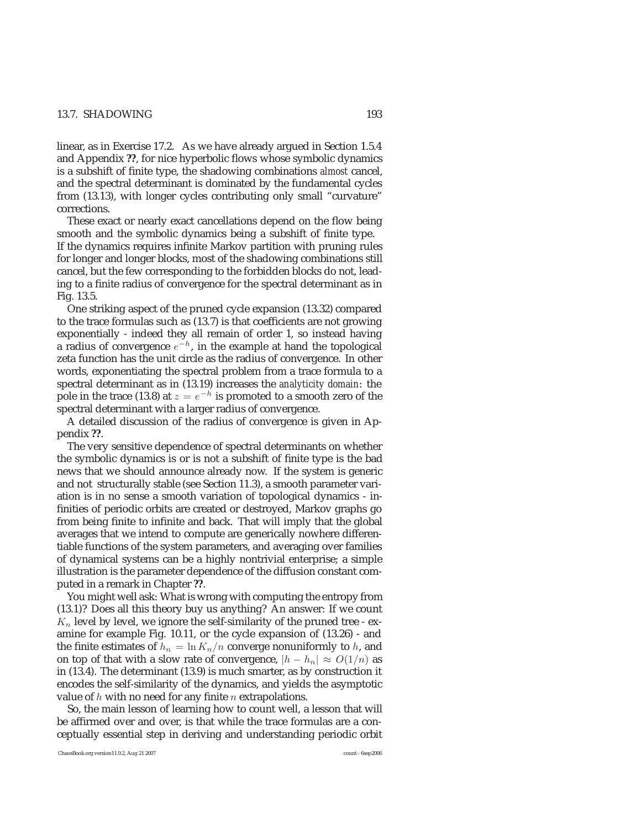#### 13.7. SHADOWING 193

linear, as in Exercise 17.2. As we have already argued in Section 1.5.4 and Appendix **??**, for nice hyperbolic flows whose symbolic dynamics is a subshift of finite type, the shadowing combinations *almost* cancel, and the spectral determinant is dominated by the fundamental cycles from (13.13), with longer cycles contributing only small "curvature" corrections.

These exact or nearly exact cancellations depend on the flow being smooth and the symbolic dynamics being a subshift of finite type. If the dynamics requires infinite Markov partition with pruning rules for longer and longer blocks, most of the shadowing combinations still cancel, but the few corresponding to the forbidden blocks do not, leading to a finite radius of convergence for the spectral determinant as in Fig. 13.5.

One striking aspect of the pruned cycle expansion (13.32) compared to the trace formulas such as (13.7) is that coefficients are not growing exponentially - indeed they all remain of order 1, so instead having a radius of convergence  $e^{-h}$ , in the example at hand the topological zeta function has the unit circle as the radius of convergence. In other words, exponentiating the spectral problem from a trace formula to a spectral determinant as in (13.19) increases the *analyticity domain*: the pole in the trace (13.8) at  $z = e^{-h}$  is promoted to a smooth zero of the spectral determinant with a larger radius of convergence.

A detailed discussion of the radius of convergence is given in Appendix **??**.

The very sensitive dependence of spectral determinants on whether the symbolic dynamics is or is not a subshift of finite type is the bad news that we should announce already now. If the system is generic and not structurally stable (see Section 11.3), a smooth parameter variation is in no sense a smooth variation of topological dynamics - infinities of periodic orbits are created or destroyed, Markov graphs go from being finite to infinite and back. That will imply that the global averages that we intend to compute are generically nowhere differentiable functions of the system parameters, and averaging over families of dynamical systems can be a highly nontrivial enterprise; a simple illustration is the parameter dependence of the diffusion constant computed in a remark in Chapter **??**.

You might well ask: What is wrong with computing the entropy from (13.1)? Does all this theory buy us anything? An answer: If we count  $K_n$  level by level, we ignore the self-similarity of the pruned tree - examine for example Fig. 10.11, or the cycle expansion of (13.26) - and the finite estimates of  $h_n = \ln K_n/n$  converge nonuniformly to h, and on top of that with a slow rate of convergence,  $|h - h_n| \approx O(1/n)$  as in (13.4). The determinant (13.9) is much smarter, as by construction it encodes the self-similarity of the dynamics, and yields the asymptotic value of  $h$  with no need for any finite  $n$  extrapolations.

So, the main lesson of learning how to count well, a lesson that will be affirmed over and over, is that while the trace formulas are a conceptually essential step in deriving and understanding periodic orbit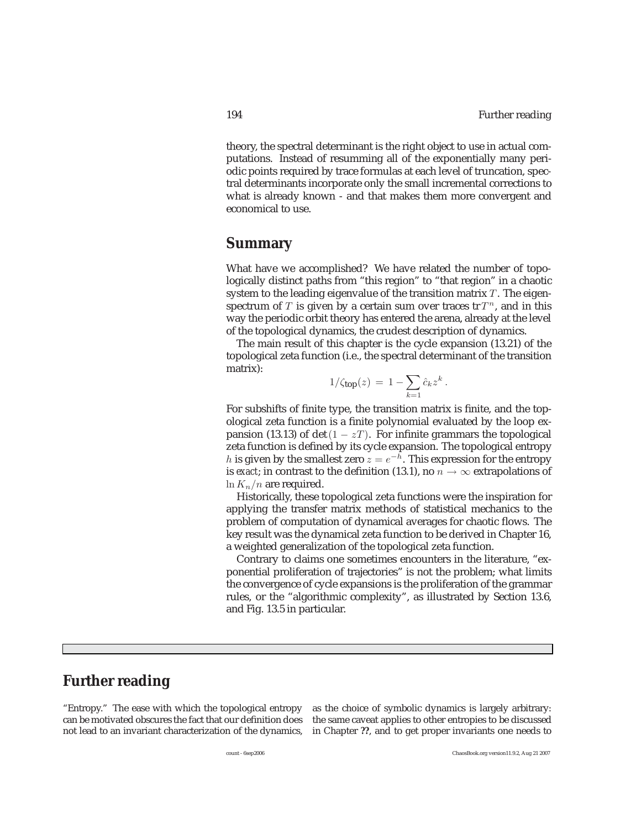theory, the spectral determinant is the right object to use in actual computations. Instead of resumming all of the exponentially many periodic points required by trace formulas at each level of truncation, spectral determinants incorporate only the small incremental corrections to what is already known - and that makes them more convergent and economical to use.

# **Summary**

What have we accomplished? We have related the number of topologically distinct paths from "this region" to "that region" in a chaotic system to the leading eigenvalue of the transition matrix  $T$ . The eigenspectrum of T is given by a certain sum over traces tr  $T^n$ , and in this way the periodic orbit theory has entered the arena, already at the level of the topological dynamics, the crudest description of dynamics.

The main result of this chapter is the cycle expansion (13.21) of the topological zeta function (i.e., the spectral determinant of the transition matrix):

$$
1/\zeta_{\text{top}}(z) = 1 - \sum_{k=1} \hat{c}_k z^k.
$$

For subshifts of finite type, the transition matrix is finite, and the topological zeta function is a finite polynomial evaluated by the loop expansion (13.13) of det( $1 - zT$ ). For infinite grammars the topological zeta function is defined by its cycle expansion. The topological entropy h is given by the smallest zero  $z = e^{-h}$ . This expression for the entropy is *exact*; in contrast to the definition (13.1), no  $n \to \infty$  extrapolations of  $\ln K_n/n$  are required.

Historically, these topological zeta functions were the inspiration for applying the transfer matrix methods of statistical mechanics to the problem of computation of dynamical averages for chaotic flows. The key result was the dynamical zeta function to be derived in Chapter 16, a weighted generalization of the topological zeta function.

Contrary to claims one sometimes encounters in the literature, "exponential proliferation of trajectories" is not the problem; what limits the convergence of cycle expansions is the proliferation of the grammar rules, or the "algorithmic complexity", as illustrated by Section 13.6, and Fig. 13.5 in particular.

# **Further reading**

"Entropy." The ease with which the topological entropy as the choice of symbolic dynamics is largely arbitrary: can be motivated obscures the fact that our definition does the same caveat applies to other entropies to be discussed not lead to an invariant characterization of the dynamics, in Chapter **??**, and to get proper invariants one needs to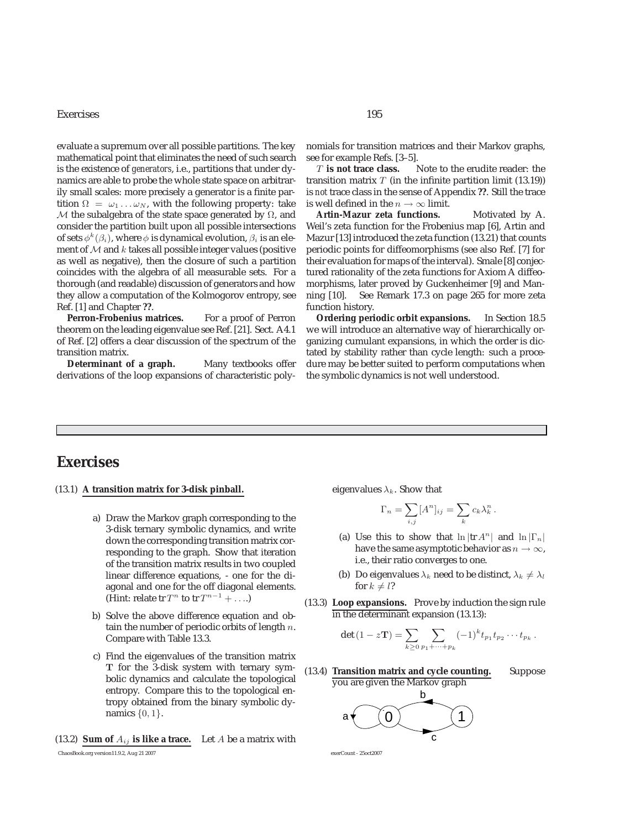#### Exercises 195

evaluate a supremum over all possible partitions. The key mathematical point that eliminates the need of such search is the existence of *generators*, i.e., partitions that under dynamics are able to probe the whole state space on arbitrarily small scales: more precisely a generator is a finite partition  $\Omega = \omega_1 \dots \omega_N$ , with the following property: take M the subalgebra of the state space generated by  $\Omega$ , and consider the partition built upon all possible intersections of sets  $\phi^k(\beta_i)$ , where  $\phi$  is dynamical evolution,  $\beta_i$  is an element of  $M$  and  $k$  takes all possible integer values (positive as well as negative), then the closure of such a partition coincides with the algebra of all measurable sets. For a thorough (and readable) discussion of generators and how they allow a computation of the Kolmogorov entropy, see Ref. [1] and Chapter **??**.

Perron-Frobenius matrices. For a proof of Perron theorem on the leading eigenvalue see Ref. [21]. Sect. A4.1 of Ref. [2] offers a clear discussion of the spectrum of the transition matrix.

**Determinant of a graph.** Many textbooks offer derivations of the loop expansions of characteristic polynomials for transition matrices and their Markov graphs, see for example Refs. [3–5].

T **is not trace class.** Note to the erudite reader: the transition matrix  $T$  (in the infinite partition limit (13.19)) is *not* trace class in the sense of Appendix **??**. Still the trace is well defined in the  $n\rightarrow\infty$  limit.

Artin-Mazur zeta functions. Motivated by A. Weil's zeta function for the Frobenius map [6], Artin and Mazur [13] introduced the zeta function (13.21) that counts periodic points for diffeomorphisms (see also Ref. [7] for their evaluation for maps of the interval). Smale [8] conjectured rationality of the zeta functions for Axiom A diffeomorphisms, later proved by Guckenheimer [9] and Manning [10]. See Remark 17.3 on page 265 for more zeta function history.

**Ordering periodic orbit expansions.** In Section 18.5 we will introduce an alternative way of hierarchically organizing cumulant expansions, in which the order is dictated by stability rather than cycle length: such a procedure may be better suited to perform computations when the symbolic dynamics is not well understood.

# **Exercises**

- (13.1) **A transition matrix for 3-disk pinball.**
	- a) Draw the Markov graph corresponding to the 3-disk ternary symbolic dynamics, and write down the corresponding transition matrix corresponding to the graph. Show that iteration of the transition matrix results in two coupled linear difference equations, - one for the diagonal and one for the off diagonal elements. (Hint: relate tr  $T^n$  to tr  $T^{n-1}$  + ....)
	- b) Solve the above difference equation and obtain the number of periodic orbits of length  $n$ . Compare with Table 13.3.
	- c) Find the eigenvalues of the transition matrix **T** for the 3-disk system with ternary symbolic dynamics and calculate the topological entropy. Compare this to the topological entropy obtained from the binary symbolic dynamics  $\{0, 1\}.$
- (13.2) **Sum of**  $A_{ij}$  **is like a trace.** Let A be a matrix with ChaosBook.org version11.9.2, Aug 21 2007 exerCount - 25oct2007

eigenvalues  $\lambda_k$ . Show that

$$
\Gamma_n = \sum_{i,j} [A^n]_{ij} = \sum_k c_k \lambda_k^n.
$$

- (a) Use this to show that  $\ln |\text{tr } A^n|$  and  $\ln |\Gamma_n|$ have the same asymptotic behavior as  $n \to \infty$ , i.e., their ratio converges to one.
- (b) Do eigenvalues  $\lambda_k$  need to be distinct,  $\lambda_k \neq \lambda_l$ for  $k \neq l$ ?
- (13.3) **Loop expansions.** Prove by induction the sign rule in the determinant expansion (13.13):

$$
\det (1 - z\mathbf{T}) = \sum_{k \geq 0} \sum_{p_1 + \dots + p_k} (-1)^k t_{p_1} t_{p_2} \cdots t_{p_k}.
$$

(13.4) **Transition matrix and cycle counting.** Suppose you are given the Markov graph

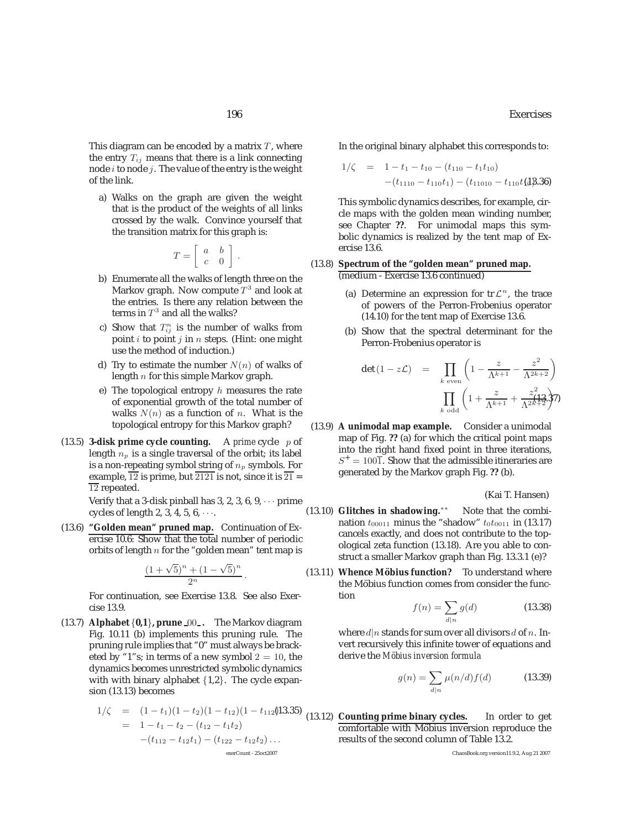This diagram can be encoded by a matrix  $T$ , where the entry  $T_{ij}$  means that there is a link connecting node  $i$  to node  $j$ . The value of the entry is the weight of the link.

a) Walks on the graph are given the weight that is the product of the weights of all links crossed by the walk. Convince yourself that the transition matrix for this graph is:

$$
T = \left[ \begin{array}{cc} a & b \\ c & 0 \end{array} \right] \, .
$$

- b) Enumerate all the walks of length three on the Markov graph. Now compute  $T^3$  and look at the entries. Is there any relation between the terms in  $T^3$  and all the walks?
- c) Show that  $T_{ij}^n$  is the number of walks from point  $i$  to point  $j$  in  $n$  steps. (Hint: one might use the method of induction.)
- d) Try to estimate the number  $N(n)$  of walks of length n for this simple Markov graph.
- e) The topological entropy  $h$  measures the rate of exponential growth of the total number of walks  $N(n)$  as a function of n. What is the topological entropy for this Markov graph?
- (13.5) **3-disk prime cycle counting.** A *prime* cycle p of length  $n_p$  is a single traversal of the orbit; its label is a non-repeating symbol string of  $n_p$  symbols. For example,  $\overline{12}$  is prime, but  $\overline{2121}$  is not, since it is  $\overline{21}$  =  $\overline{12}$  repeated.

Verify that a 3-disk pinball has 3, 2, 3, 6, 9,  $\cdots$  prime cycles of length 2, 3, 4, 5,  $6, \cdots$ .

(13.6) **"Golden mean" pruned map.** Continuation of Exercise 10.6: Show that the total number of periodic orbits of length  $n$  for the "golden mean" tent map is

$$
\frac{(1+\sqrt{5})^n + (1-\sqrt{5})^n}{2^n}.
$$
 For continuation, see Exercise 13.8. See also Exer-

cise 13.9.

(13.7) **Alphabet** {**0,1**}**, prune** <sup>00</sup> **.** The Markov diagram Fig. 10.11 (b) implements this pruning rule. The pruning rule implies that "0" must always be bracketed by "1"s; in terms of a new symbol  $2 = 10$ , the dynamics becomes unrestricted symbolic dynamics with with binary alphabet {1,2}. The cycle expansion (13.13) becomes

$$
1/\zeta = (1-t_1)(1-t_2)(1-t_{12})(1-t_{112})(13.35)
$$
  
= 1-t\_1-t\_2-(t\_{12}-t\_1t\_2)  
-(t\_{112}-t\_{12}t\_1)-(t\_{122}-t\_{12}t\_2)...  
exerCount - 25oct2007

In the original binary alphabet this corresponds to:

$$
1/\zeta = 1 - t_1 - t_{10} - (t_{110} - t_1 t_{10})
$$
  
-(t\_{1110} - t\_{110} t\_1) - (t\_{11010} - t\_{110} t\_1 4).36)

This symbolic dynamics describes, for example, circle maps with the golden mean winding number, see Chapter **??**. For unimodal maps this symbolic dynamics is realized by the tent map of Exercise 13.6.

#### (13.8) **Spectrum of the "golden mean" pruned map.** (medium - Exercise 13.6 continued)

- (a) Determine an expression for  $tr \mathcal{L}^n$ , the trace of powers of the Perron-Frobenius operator (14.10) for the tent map of Exercise 13.6.
- (b) Show that the spectral determinant for the Perron-Frobenius operator is

$$
\det (1 - z\mathcal{L}) = \prod_{k \text{ even}} \left( 1 - \frac{z}{\Lambda^{k+1}} - \frac{z^2}{\Lambda^{2k+2}} \right)
$$

$$
\prod_{k \text{ odd}} \left( 1 + \frac{z}{\Lambda^{k+1}} + \frac{z^2}{\Lambda^{2k+2}} \right) \eta
$$

(13.9) **A unimodal map example.** Consider a unimodal map of Fig. **??** (a) for which the critical point maps into the right hand fixed point in three iterations,  $S^+ = 100\overline{1}$ . Show that the admissible itineraries are generated by the Markov graph Fig. **??** (b).

(Kai T. Hansen)

- (13.10) **Glitches in shadowing.**<sup>\*\*</sup> Note that the combination  $t_{00011}$  minus the "shadow"  $t_0t_{0011}$  in (13.17) cancels exactly, and does not contribute to the topological zeta function (13.18). Are you able to construct a smaller Markov graph than Fig. 13.3.1 (e)?
- (13.11) **Whence Möbius function?** To understand where the Möbius function comes from consider the function

$$
f(n) = \sum_{d|n} g(d) \tag{13.38}
$$

where  $d|n$  stands for sum over all divisors  $d$  of  $n$ . Invert recursively this infinite tower of equations and derive the *M¨obius inversion formula*

$$
g(n) = \sum_{d|n} \mu(n/d) f(d)
$$
 (13.39)

(13.12) **Counting prime binary cycles.** In order to get comfortable with Möbius inversion reproduce the results of the second column of Table 13.2.

ChaosBook.org version11.9.2, Aug 21 2007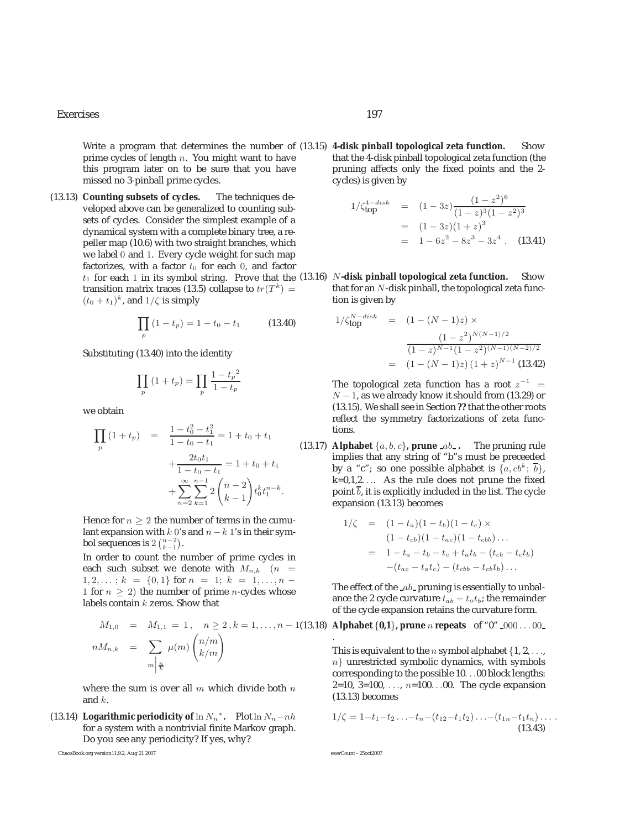#### Exercises 197

Write a program that determines the number of (13.15) **4-disk pinball topological zeta function.** Show prime cycles of length n. You might want to have this program later on to be sure that you have missed no 3-pinball prime cycles.

(13.13) **Counting subsets of cycles.** The techniques developed above can be generalized to counting subsets of cycles. Consider the simplest example of a dynamical system with a complete binary tree, a repeller map (10.6) with two straight branches, which we label 0 and 1. Every cycle weight for such map factorizes, with a factor  $t_0$  for each 0, and factor transition matrix traces (13.5) collapse to  $tr(T^k)$  =  $(t_0 + t_1)^k$ , and  $1/\zeta$  is simply

$$
\prod_{p} (1 - t_p) = 1 - t_0 - t_1 \tag{13.40}
$$

Substituting (13.40) into the identity

$$
\prod_{p} (1 + t_p) = \prod_{p} \frac{1 - t_p{}^{2}}{1 - t_p}
$$

we obtain

$$
\prod_{p} (1 + t_p) = \frac{1 - t_0^2 - t_1^2}{1 - t_0 - t_1} = 1 + t_0 + t_1
$$
\n
$$
+ \frac{2t_0 t_1}{1 - t_0 - t_1} = 1 + t_0 + t_1
$$
\n
$$
+ \sum_{n=2}^{\infty} \sum_{k=1}^{n-1} 2 \binom{n-2}{k-1} t_0^k t_1^{n-k}.
$$
\n(12)

Hence for  $n \geq 2$  the number of terms in the cumulant expansion with  $k$  0's and  $n-k$  1's in their symbol sequences is  $2\binom{n-2}{k-1}$ .

In order to count the number of prime cycles in each such subset we denote with  $M_{n,k}$  ( $n =$  $1, 2, \ldots$ ;  $k = \{0, 1\}$  for  $n = 1$ ;  $k = 1, \ldots, n - 1$ 1 for  $n \geq 2$ ) the number of prime *n*-cycles whose labels contain k zeros. Show that

$$
M_{1,0} = M_{1,1} = 1, \quad n \ge 2, k = 1, ..., n - 1(13.18)
$$
  

$$
nM_{n,k} = \sum_{m \mid \frac{n}{k}} \mu(m) \binom{n/m}{k/m}
$$

where the sum is over all  $m$  which divide both  $n$ and k.

(13.14) **Logarithmic periodicity of**  $\ln N_n^*$ . Plot  $\ln N_n - nh$ for a system with a nontrivial finite Markov graph. Do you see any periodicity? If yes, why?

ChaosBook.org version11.9.2, Aug 21 2007 exerCount - 25oct2007

that the 4-disk pinball topological zeta function (the pruning affects only the fixed points and the 2 cycles) is given by

$$
1/\zeta_{\text{top}}^{4-disk} = (1-3z)\frac{(1-z^2)^6}{(1-z)^3(1-z^2)^3}
$$
  
=  $(1-3z)(1+z)^3$   
=  $1-6z^2-8z^3-3z^4$ . (13.41)

 $t_1$  for each 1 in its symbol string. Prove that the (13.16) N-**disk pinball topological zeta function.** Show<br>transition matrix traces (13.5) collapse to  $tr(T^k)$  – that for an N-disk pinball the topological zeta functhat for an  $N$ -disk pinball, the topological zeta function is given by

$$
1/\zeta_{\text{top}}^{N-disk} = (1 - (N - 1)z) \times
$$

$$
\frac{(1 - z^2)^{N(N-1)/2}}{(1 - z)^{N-1}(1 - z^2)^{(N-1)(N-2)/2}}
$$

$$
= (1 - (N - 1)z) (1 + z)^{N-1}
$$
(13.42)

The topological zeta function has a root  $z^{-1}$  =  $N-1$ , as we already know it should from (13.29) or (13.15). We shall see in Section **??** that the other roots reflect the symmetry factorizations of zeta functions.

(13.17) **Alphabet**  $\{a, b, c\}$ , **prune**  $ab$ . The pruning rule implies that any string of "b"s must be preceeded by a "c"; so one possible alphabet is  $\{a, cb^k; \overline{b}\},\$ k=0,1,2.... As the rule does not prune the fixed point  $\overline{b}$ , it is explicitly included in the list. The cycle expansion (13.13) becomes

$$
1/\zeta = (1 - t_a)(1 - t_b)(1 - t_c) \times \n(1 - t_{cb})(1 - t_{ac})(1 - t_{cbb}) \dots \n= 1 - t_a - t_b - t_c + t_a t_b - (t_{cb} - t_c t_b) \n-(t_{ac} - t_a t_c) - (t_{cbb} - t_{cb} t_b) \dots
$$

The effect of the  $\mathcal{A}b$ -pruning is essentially to unbalance the 2 cycle curvature  $t_{ab} - t_a t_b$ ; the remainder of the cycle expansion retains the curvature form.

(13.18) **Alphabet**  $\{0,1\}$ , prune *n* repeats of "0"  $\{000...00\}$ 

This is equivalent to the *n* symbol alphabet  $\{1, 2, \ldots, \}$ n} unrestricted symbolic dynamics, with symbols corresponding to the possible 10...00 block lengths: 2=10, 3=100, ...,  $n=100...00$ . The cycle expansion (13.13) becomes

$$
1/\zeta = 1-t_1-t_2 \ldots -t_n - (t_{12}-t_1t_2) \ldots - (t_{1n}-t_1t_n) \ldots
$$
\n(13.43)

.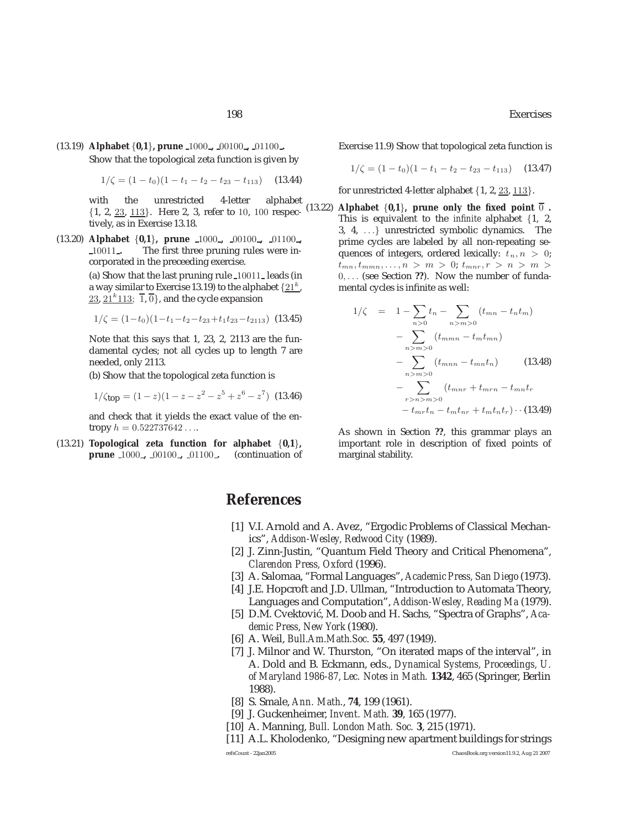(13.19) **Alphabet** {**0,1**}**, prune** 1000 **,** 00100 **,** 01100 **.** Show that the topological zeta function is given by

$$
1/\zeta = (1 - t_0)(1 - t_1 - t_2 - t_{23} - t_{113}) \quad (13.44)
$$

with the unrestricted 4-letter alphabet {1, 2, 23, <sup>113</sup>}. Here 2, 3, refer to <sup>10</sup>, <sup>100</sup> respectively, as in Exercise 13.18.

(13.20) **Alphabet** {**0,1**}, **prune**  $\frac{1000}{\pi}$ ,  $\frac{00100}{\pi}$ ,  $\frac{01100}{\pi}$ The first three pruning rules were incorporated in the preceeding exercise.

> (a) Show that the last pruning rule <sup>10011</sup> leads (in a way similar to Exercise 13.19) to the alphabet  $\{21^k,$ 23,  $21^k113$ ;  $\overline{1}$ ,  $\overline{0}$ }, and the cycle expansion

$$
1/\zeta = (1-t_0)(1-t_1-t_2-t_{23}+t_1t_{23}-t_{2113})
$$
 (13.45)

Note that this says that 1, 23, 2, 2113 are the fundamental cycles; not all cycles up to length 7 are needed, only 2113.

(b) Show that the topological zeta function is

$$
1/\zeta_{\text{top}} = (1-z)(1-z-z^2-z^5+z^6-z^7) \tag{13.46}
$$

and check that it yields the exact value of the entropy  $h = 0.522737642...$ 

(13.21) **Topological zeta function for alphabet** {**0,1**}**, prune** <sup>1000</sup> **,** <sup>00100</sup> **,** <sup>01100</sup> **.** (continuation of Exercise 11.9) Show that topological zeta function is

$$
1/\zeta = (1 - t_0)(1 - t_1 - t_2 - t_{23} - t_{113}) \quad (13.47)
$$

for unrestricted 4-letter alphabet  $\{1, 2, 23, 113\}$ .

(13.22) **Alphabet**  $\{0,1\}$ , prune only the fixed point  $\overline{0}$ . This is equivalent to the *infinite* alphabet {1, 2, 3, 4, ...} unrestricted symbolic dynamics. The prime cycles are labeled by all non-repeating sequences of integers, ordered lexically:  $t_n, n > 0$ ;  $t_{mn}, t_{mmn}, \ldots, n > m > 0; t_{mnr}, r > n > m$ 0,... (see Section **??**). Now the number of fundamental cycles is infinite as well:

$$
1/\zeta = 1 - \sum_{n>0} t_n - \sum_{n>m>0} (t_{mn} - t_n t_m)
$$
  
- 
$$
\sum_{n>m>0} (t_{mmn} - t_m t_{mn})
$$
  
- 
$$
\sum_{n>m>0} (t_{mnn} - t_{mn} t_n)
$$
 (13.48)  
- 
$$
\sum_{n>m>0} (t_{mnn} - t_{mn} t_n)
$$
  
- 
$$
\sum_{r>n>0} (t_{mnr} + t_{mrn} - t_{mn} t_r)
$$
  
- 
$$
t_{mr} t_n - t_m t_{nr} + t_m t_n t_r) \cdot (13.49)
$$

As shown in Section **??**, this grammar plays an important role in description of fixed points of marginal stability.

# **References**

- [1] V.I. Arnold and A. Avez, "Ergodic Problems of Classical Mechanics", *Addison-Wesley, Redwood City* (1989).
- [2] J. Zinn-Justin, "Quantum Field Theory and Critical Phenomena", *Clarendon Press, Oxford* (1996).
- [3] A. Salomaa, "Formal Languages", *Academic Press, San Diego* (1973).
- [4] J.E. Hopcroft and J.D. Ullman, "Introduction to Automata Theory, Languages and Computation", *Addison-Wesley, Reading Ma* (1979).
- [5] D.M. Cvektović, M. Doob and H. Sachs, "Spectra of Graphs", *Academic Press, New York* (1980).
- [6] A. Weil, *Bull.Am.Math.Soc.* **55**, 497 (1949).
- [7] J. Milnor and W. Thurston, "On iterated maps of the interval", in A. Dold and B. Eckmann, eds., *Dynamical Systems, Proceedings, U. of Maryland 1986-87, Lec. Notes in Math.* **1342**, 465 (Springer, Berlin 1988).
- [8] S. Smale, *Ann. Math.*, **74**, 199 (1961).
- [9] J. Guckenheimer, *Invent. Math.* **39**, 165 (1977).
- [10] A. Manning, *Bull. London Math. Soc.* **3**, 215 (1971).
- [11] A.L. Kholodenko, "Designing new apartment buildings for strings

refsCount - 22jan2005 ChaosBook.org version11.9.2, Aug 21 2007